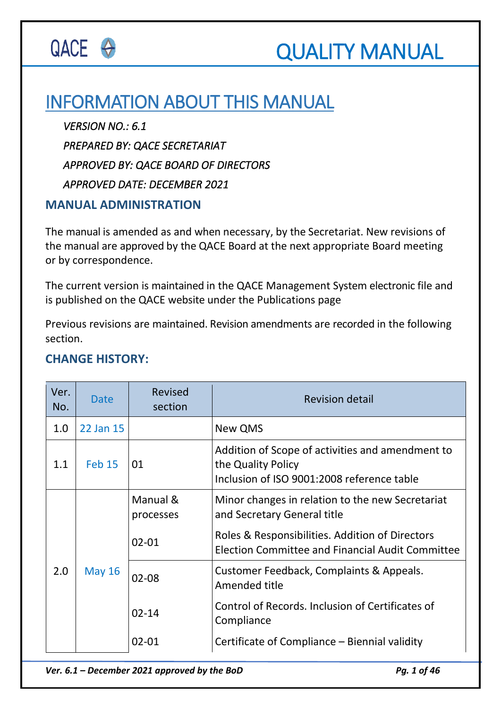

### <span id="page-0-0"></span>INFORMATION ABOUT THIS MANUAL

*VERSION NO.: 6.1 PREPARED BY: QACE SECRETARIAT APPROVED BY: QACE BOARD OF DIRECTORS APPROVED DATE: DECEMBER 2021* 

#### **MANUAL ADMINISTRATION**

The manual is amended as and when necessary, by the Secretariat. New revisions of the manual are approved by the QACE Board at the next appropriate Board meeting or by correspondence.

The current version is maintained in the QACE Management System electronic file and is published on the QACE website under the Publications page

Previous revisions are maintained. Revision amendments are recorded in the following section.

#### **CHANGE HISTORY:**

| Ver.<br>No. | <b>Date</b>   | Revised<br>section    | <b>Revision detail</b>                                                                                               |
|-------------|---------------|-----------------------|----------------------------------------------------------------------------------------------------------------------|
| 1.0         | 22 Jan 15     |                       | <b>New QMS</b>                                                                                                       |
| 1.1         | <b>Feb 15</b> | 01                    | Addition of Scope of activities and amendment to<br>the Quality Policy<br>Inclusion of ISO 9001:2008 reference table |
|             |               | Manual &<br>processes | Minor changes in relation to the new Secretariat<br>and Secretary General title                                      |
|             |               | $02 - 01$             | Roles & Responsibilities. Addition of Directors<br><b>Election Committee and Financial Audit Committee</b>           |
| 2.0         | May $16$      | $02 - 08$             | Customer Feedback, Complaints & Appeals.<br>Amended title                                                            |
|             |               | $02 - 14$             | Control of Records. Inclusion of Certificates of<br>Compliance                                                       |
|             |               | $02 - 01$             | Certificate of Compliance - Biennial validity                                                                        |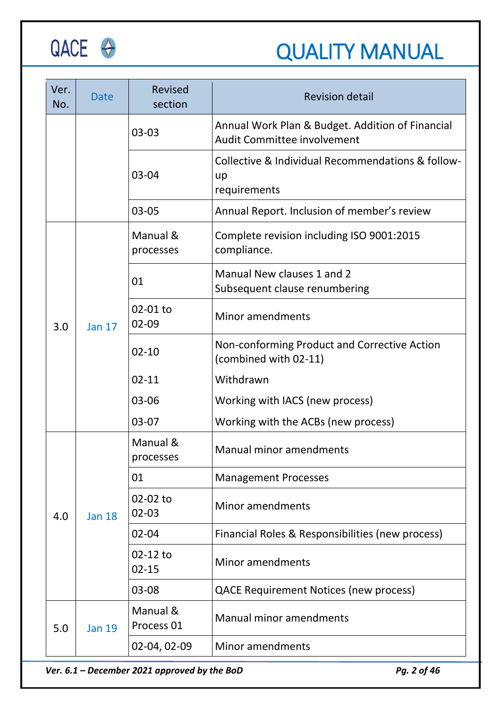

| Ver.<br>No. | Date          | <b>Revised</b><br>section         | <b>Revision detail</b>                                                                 |
|-------------|---------------|-----------------------------------|----------------------------------------------------------------------------------------|
|             |               | 03-03                             | Annual Work Plan & Budget. Addition of Financial<br><b>Audit Committee involvement</b> |
|             |               | 03-04                             | Collective & Individual Recommendations & follow-<br>up<br>requirements                |
|             |               | 03-05                             | Annual Report. Inclusion of member's review                                            |
|             |               | Manual &<br>processes             | Complete revision including ISO 9001:2015<br>compliance.                               |
|             |               | 01                                | Manual New clauses 1 and 2<br>Subsequent clause renumbering                            |
| 3.0         | <b>Jan 17</b> | 02-01 to<br>02-09                 | <b>Minor amendments</b>                                                                |
|             |               | $02 - 10$                         | Non-conforming Product and Corrective Action<br>(combined with 02-11)                  |
|             |               | $02 - 11$                         | Withdrawn                                                                              |
|             |               | 03-06                             | Working with IACS (new process)                                                        |
|             |               | 03-07                             | Working with the ACBs (new process)                                                    |
|             |               | Manual &<br>processes             | <b>Manual minor amendments</b>                                                         |
|             |               | 01                                | <b>Management Processes</b>                                                            |
| 4.0         | <b>Jan 18</b> | 02-02 to<br>$02 - 03$             | <b>Minor amendments</b>                                                                |
|             |               | 02-04                             | Financial Roles & Responsibilities (new process)                                       |
|             |               | 02-12 to<br>$02 - 15$             | <b>Minor amendments</b>                                                                |
|             |               | 03-08                             | <b>QACE Requirement Notices (new process)</b>                                          |
| 5.0         | <b>Jan 19</b> | Manual &<br>Process <sub>01</sub> | <b>Manual minor amendments</b>                                                         |
|             |               | 02-04, 02-09                      | Minor amendments                                                                       |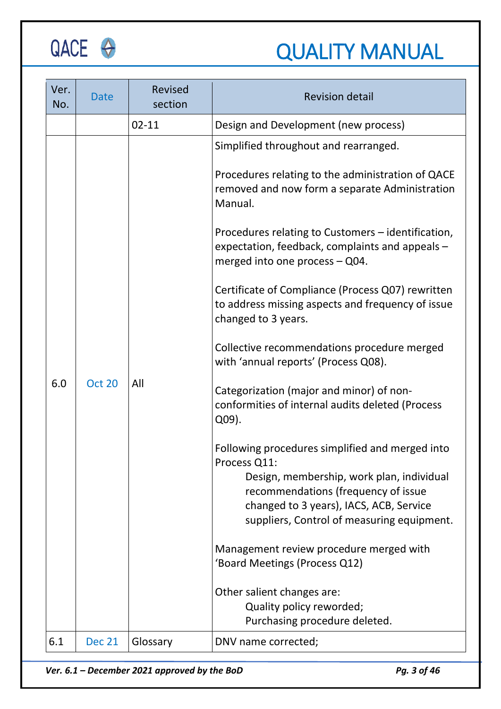

| Ver.<br>No. | <b>Date</b>   | <b>Revised</b><br>section | <b>Revision detail</b>                                                                                                                  |
|-------------|---------------|---------------------------|-----------------------------------------------------------------------------------------------------------------------------------------|
|             |               | $02 - 11$                 | Design and Development (new process)                                                                                                    |
|             |               |                           | Simplified throughout and rearranged.                                                                                                   |
|             |               |                           | Procedures relating to the administration of QACE<br>removed and now form a separate Administration<br>Manual.                          |
|             |               |                           | Procedures relating to Customers - identification,<br>expectation, feedback, complaints and appeals -<br>merged into one process - Q04. |
|             |               |                           | Certificate of Compliance (Process Q07) rewritten<br>to address missing aspects and frequency of issue<br>changed to 3 years.           |
|             |               |                           | Collective recommendations procedure merged<br>with 'annual reports' (Process Q08).                                                     |
| 6.0         | <b>Oct 20</b> | All                       | Categorization (major and minor) of non-<br>conformities of internal audits deleted (Process<br>Q09).                                   |
|             |               |                           | Following procedures simplified and merged into<br>Process Q11:                                                                         |
|             |               |                           | Design, membership, work plan, individual<br>recommendations (frequency of issue<br>changed to 3 years), IACS, ACB, Service             |
|             |               |                           | suppliers, Control of measuring equipment.                                                                                              |
|             |               |                           | Management review procedure merged with<br>'Board Meetings (Process Q12)                                                                |
|             |               |                           | Other salient changes are:<br>Quality policy reworded;<br>Purchasing procedure deleted.                                                 |
| 6.1         | <b>Dec 21</b> | Glossary                  | DNV name corrected;                                                                                                                     |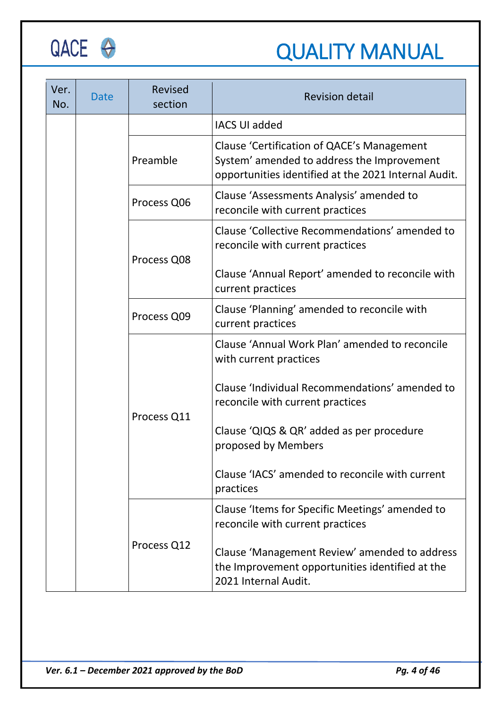

| Ver.<br>No. | Date | <b>Revised</b><br>section | <b>Revision detail</b>                                                                                                                           |
|-------------|------|---------------------------|--------------------------------------------------------------------------------------------------------------------------------------------------|
|             |      |                           | <b>IACS UI added</b>                                                                                                                             |
|             |      | Preamble                  | Clause 'Certification of QACE's Management<br>System' amended to address the Improvement<br>opportunities identified at the 2021 Internal Audit. |
|             |      | Process Q06               | Clause 'Assessments Analysis' amended to<br>reconcile with current practices                                                                     |
|             |      | Process Q08               | Clause 'Collective Recommendations' amended to<br>reconcile with current practices                                                               |
|             |      |                           | Clause 'Annual Report' amended to reconcile with<br>current practices                                                                            |
|             |      | Process Q09               | Clause 'Planning' amended to reconcile with<br>current practices                                                                                 |
|             |      |                           | Clause 'Annual Work Plan' amended to reconcile<br>with current practices                                                                         |
|             |      | Process Q11               | Clause 'Individual Recommendations' amended to<br>reconcile with current practices                                                               |
|             |      |                           | Clause 'QIQS & QR' added as per procedure<br>proposed by Members                                                                                 |
|             |      |                           | Clause 'IACS' amended to reconcile with current<br>practices                                                                                     |
|             |      |                           | Clause 'Items for Specific Meetings' amended to<br>reconcile with current practices                                                              |
|             |      | Process Q12               | Clause 'Management Review' amended to address<br>the Improvement opportunities identified at the<br>2021 Internal Audit.                         |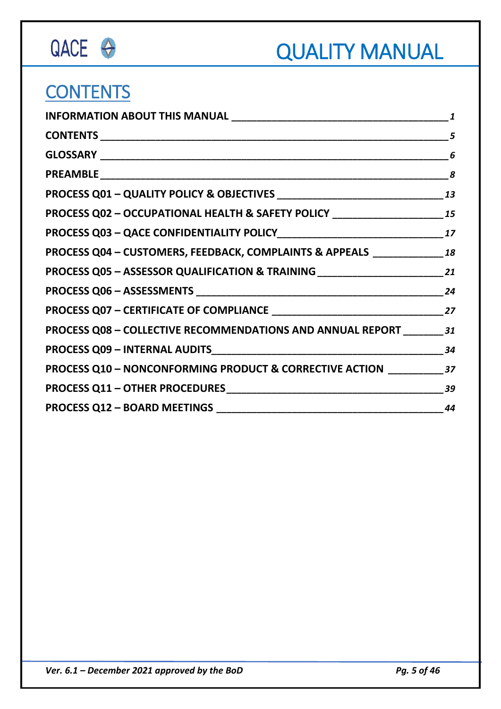



### <span id="page-4-0"></span>**CONTENTS**

|                                                                                     | $\mathbf{1}$ |
|-------------------------------------------------------------------------------------|--------------|
|                                                                                     |              |
|                                                                                     | 6            |
|                                                                                     | 8            |
|                                                                                     |              |
|                                                                                     |              |
|                                                                                     |              |
| PROCESS Q04 - CUSTOMERS, FEEDBACK, COMPLAINTS & APPEALS _________________________   |              |
| PROCESS Q05 - ASSESSOR QUALIFICATION & TRAINING _________________________________21 |              |
|                                                                                     |              |
|                                                                                     |              |
| PROCESS Q08 - COLLECTIVE RECOMMENDATIONS AND ANNUAL REPORT _________ 31             |              |
|                                                                                     |              |
| PROCESS Q10 - NONCONFORMING PRODUCT & CORRECTIVE ACTION _________________________   |              |
|                                                                                     |              |
|                                                                                     |              |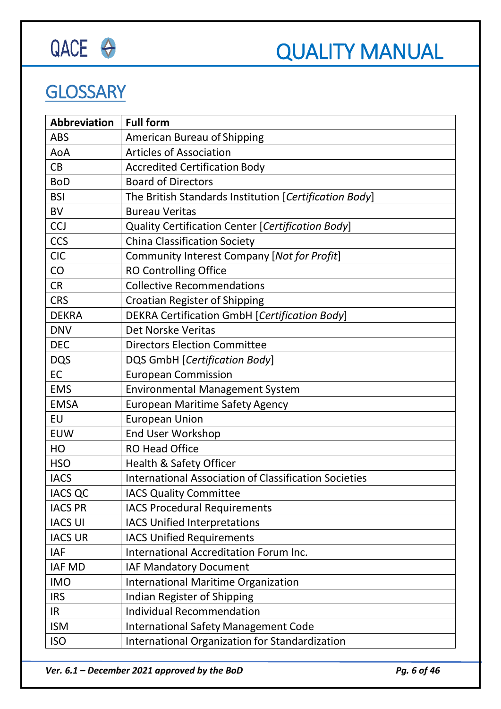

### <span id="page-5-0"></span>**GLOSSARY**

| <b>Abbreviation</b> | <b>Full form</b>                                             |
|---------------------|--------------------------------------------------------------|
| <b>ABS</b>          | <b>American Bureau of Shipping</b>                           |
| AoA                 | <b>Articles of Association</b>                               |
| CB                  | <b>Accredited Certification Body</b>                         |
| <b>BoD</b>          | <b>Board of Directors</b>                                    |
| <b>BSI</b>          | The British Standards Institution [Certification Body]       |
| <b>BV</b>           | <b>Bureau Veritas</b>                                        |
| <b>CCJ</b>          | Quality Certification Center [Certification Body]            |
| <b>CCS</b>          | <b>China Classification Society</b>                          |
| <b>CIC</b>          | Community Interest Company [Not for Profit]                  |
| CO                  | <b>RO Controlling Office</b>                                 |
| <b>CR</b>           | <b>Collective Recommendations</b>                            |
| <b>CRS</b>          | <b>Croatian Register of Shipping</b>                         |
| <b>DEKRA</b>        | DEKRA Certification GmbH [Certification Body]                |
| <b>DNV</b>          | Det Norske Veritas                                           |
| <b>DEC</b>          | <b>Directors Election Committee</b>                          |
| <b>DQS</b>          | DQS GmbH [Certification Body]                                |
| <b>EC</b>           | <b>European Commission</b>                                   |
| <b>EMS</b>          | <b>Environmental Management System</b>                       |
| <b>EMSA</b>         | <b>European Maritime Safety Agency</b>                       |
| <b>EU</b>           | <b>European Union</b>                                        |
| EUW                 | <b>End User Workshop</b>                                     |
| HO                  | <b>RO Head Office</b>                                        |
| <b>HSO</b>          | Health & Safety Officer                                      |
| <b>IACS</b>         | <b>International Association of Classification Societies</b> |
| <b>IACS QC</b>      | <b>IACS Quality Committee</b>                                |
| <b>IACS PR</b>      | <b>IACS Procedural Requirements</b>                          |
| <b>IACS UI</b>      | <b>IACS Unified Interpretations</b>                          |
| <b>IACS UR</b>      | <b>IACS Unified Requirements</b>                             |
| <b>IAF</b>          | International Accreditation Forum Inc.                       |
| <b>IAF MD</b>       | IAF Mandatory Document                                       |
| <b>IMO</b>          | <b>International Maritime Organization</b>                   |
| <b>IRS</b>          | Indian Register of Shipping                                  |
| IR.                 | <b>Individual Recommendation</b>                             |
| <b>ISM</b>          | <b>International Safety Management Code</b>                  |
| <b>ISO</b>          | International Organization for Standardization               |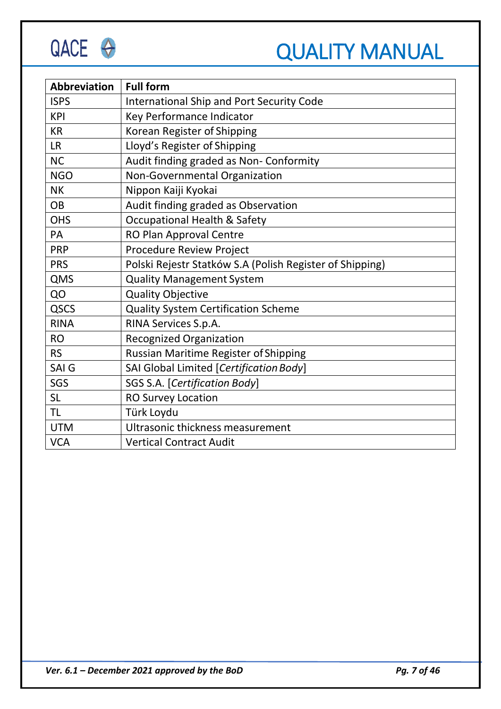

| <b>Abbreviation</b> | <b>Full form</b>                                         |
|---------------------|----------------------------------------------------------|
| <b>ISPS</b>         | <b>International Ship and Port Security Code</b>         |
| <b>KPI</b>          | Key Performance Indicator                                |
| <b>KR</b>           | Korean Register of Shipping                              |
| <b>LR</b>           | Lloyd's Register of Shipping                             |
| <b>NC</b>           | Audit finding graded as Non- Conformity                  |
| <b>NGO</b>          | Non-Governmental Organization                            |
| <b>NK</b>           | Nippon Kaiji Kyokai                                      |
| <b>OB</b>           | Audit finding graded as Observation                      |
| <b>OHS</b>          | <b>Occupational Health &amp; Safety</b>                  |
| PA                  | RO Plan Approval Centre                                  |
| <b>PRP</b>          | Procedure Review Project                                 |
| <b>PRS</b>          | Polski Rejestr Statków S.A (Polish Register of Shipping) |
| QMS                 | <b>Quality Management System</b>                         |
| QO                  | <b>Quality Objective</b>                                 |
| QSCS                | <b>Quality System Certification Scheme</b>               |
| <b>RINA</b>         | RINA Services S.p.A.                                     |
| <b>RO</b>           | <b>Recognized Organization</b>                           |
| <b>RS</b>           | Russian Maritime Register of Shipping                    |
| SAI G               | SAI Global Limited [Certification Body]                  |
| SGS                 | SGS S.A. [Certification Body]                            |
| <b>SL</b>           | <b>RO Survey Location</b>                                |
| <b>TL</b>           | Türk Loydu                                               |
| <b>UTM</b>          | Ultrasonic thickness measurement                         |
| <b>VCA</b>          | <b>Vertical Contract Audit</b>                           |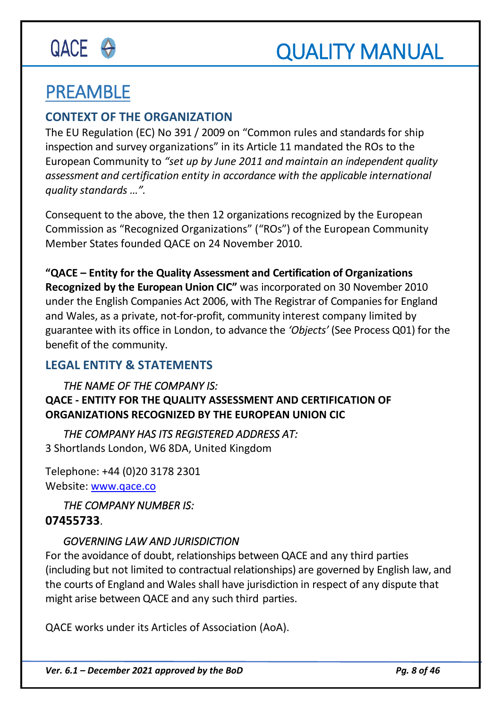

### <span id="page-7-0"></span>PREAMBLE

### **CONTEXT OF THE ORGANIZATION**

The EU Regulation (EC) No 391 / 2009 on "Common rules and standards for ship inspection and survey organizations" in its Article 11 mandated the ROs to the European Community to *"set up by June 2011 and maintain an independent quality assessment and certification entity in accordance with the applicable international quality standards …".*

Consequent to the above, the then 12 organizations recognized by the European Commission as "Recognized Organizations" ("ROs") of the European Community Member States founded QACE on 24 November 2010.

**"QACE – Entity for the Quality Assessment and Certification of Organizations Recognized by the European Union CIC"** was incorporated on 30 November 2010 under the English Companies Act 2006, with The Registrar of Companies for England and Wales, as a private, not-for-profit, community interest company limited by guarantee with its office in London, to advance the *'Objects'* (See Process Q01) for the benefit of the community.

#### **LEGAL ENTITY & STATEMENTS**

#### *THE NAME OF THE COMPANY IS:*  **QACE - ENTITY FOR THE QUALITY ASSESSMENT AND CERTIFICATION OF ORGANIZATIONS RECOGNIZED BY THE EUROPEAN UNION CIC**

*THE COMPANY HAS ITS REGISTERED ADDRESS AT:*  3 Shortlands London, W6 8DA, United Kingdom

Telephone: +44 (0)20 3178 2301 Website: [www.qace.co](http://www.qace.co/)

*THE COMPANY NUMBER IS:*  **07455733**.

#### *GOVERNING LAW AND JURISDICTION*

For the avoidance of doubt, relationships between QACE and any third parties (including but not limited to contractual relationships) are governed by English law, and the courts of England and Wales shall have jurisdiction in respect of any dispute that might arise between QACE and any such third parties.

QACE works under its Articles of Association (AoA).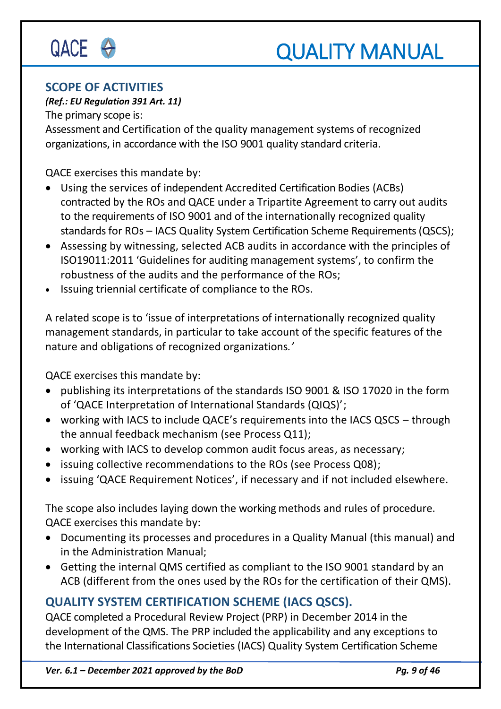

#### **SCOPE OF ACTIVITIES**

*(Ref.: EU Regulation 391 Art. 11)*

The primary scope is:

Assessment and Certification of the quality management systems of recognized organizations, in accordance with the ISO 9001 quality standard criteria.

QACE exercises this mandate by:

- Using the services of independent Accredited Certification Bodies (ACBs) contracted by the ROs and QACE under a Tripartite Agreement to carry out audits to the requirements of ISO 9001 and of the internationally recognized quality standards for ROs – IACS Quality System Certification Scheme Requirements(QSCS);
- Assessing by witnessing, selected ACB audits in accordance with the principles of ISO19011:2011 'Guidelines for auditing management systems', to confirm the robustness of the audits and the performance of the ROs;
- Issuing triennial certificate of compliance to the ROs.

A related scope is to 'issue of interpretations of internationally recognized quality management standards, in particular to take account of the specific features of the nature and obligations of recognized organizations*.'*

QACE exercises this mandate by:

- publishing its interpretations of the standards ISO 9001 & ISO 17020 in the form of 'QACE Interpretation of International Standards (QIQS)';
- working with IACS to include QACE's requirements into the IACS QSCS through the annual feedback mechanism (see Process Q11);
- working with IACS to develop common audit focus areas, as necessary;
- issuing collective recommendations to the ROs (see Process Q08);
- issuing 'QACE Requirement Notices', if necessary and if not included elsewhere.

The scope also includes laying down the working methods and rules of procedure. QACE exercises this mandate by:

- Documenting its processes and procedures in a Quality Manual (this manual) and in the Administration Manual;
- Getting the internal QMS certified as compliant to the ISO 9001 standard by an ACB (different from the ones used by the ROs for the certification of their QMS).

### **QUALITY SYSTEM CERTIFICATION SCHEME (IACS QSCS).**

QACE completed a Procedural Review Project (PRP) in December 2014 in the development of the QMS. The PRP included the applicability and any exceptions to the International Classifications Societies (IACS) Quality System Certification Scheme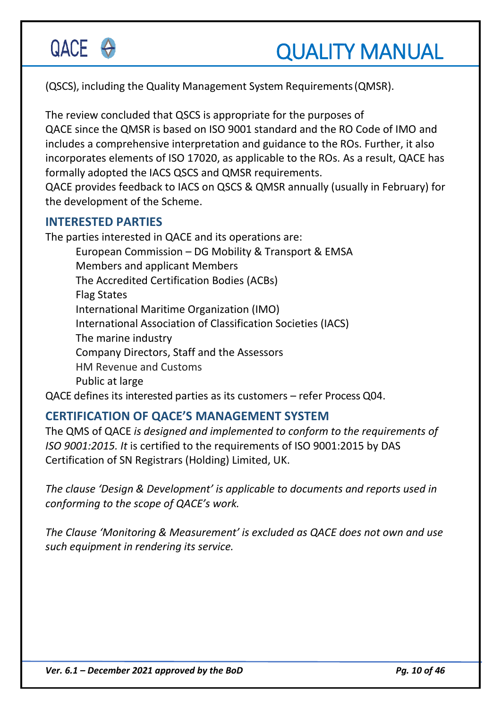

(QSCS), including the Quality Management System Requirements(QMSR).

The review concluded that QSCS is appropriate for the purposes of QACE since the QMSR is based on ISO 9001 standard and the RO Code of IMO and includes a comprehensive interpretation and guidance to the ROs. Further, it also incorporates elements of ISO 17020, as applicable to the ROs. As a result, QACE has formally adopted the IACS QSCS and QMSR requirements.

QACE provides feedback to IACS on QSCS & QMSR annually (usually in February) for the development of the Scheme.

#### **INTERESTED PARTIES**

The parties interested in QACE and its operations are: European Commission – DG Mobility & Transport & EMSA

Members and applicant Members

The Accredited Certification Bodies (ACBs)

Flag States

International Maritime Organization (IMO)

International Association of Classification Societies (IACS)

The marine industry

Company Directors, Staff and the Assessors

HM Revenue and Customs

Public at large

QACE defines its interested parties as its customers – refer Process Q04.

### **CERTIFICATION OF QACE'S MANAGEMENT SYSTEM**

The QMS of QACE *is designed and implemented to conform to the requirements of ISO 9001:2015. It* is certified to the requirements of ISO 9001:2015 by DAS Certification of SN Registrars (Holding) Limited, UK.

*The clause 'Design & Development' is applicable to documents and reports used in conforming to the scope of QACE's work.*

*The Clause 'Monitoring & Measurement' is excluded as QACE does not own and use such equipment in rendering its service.*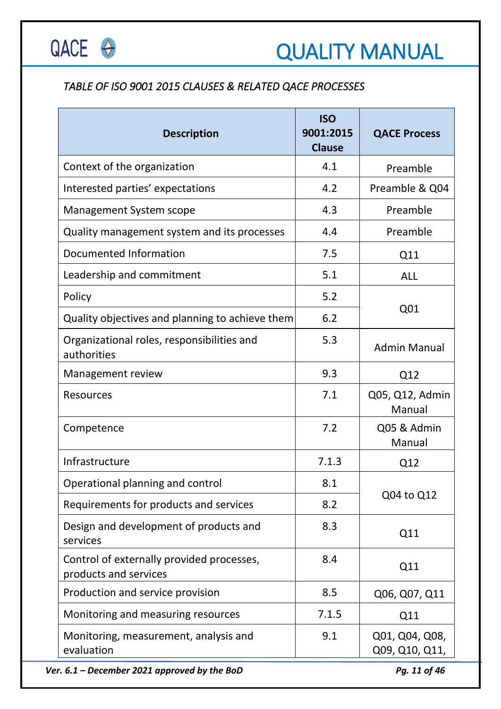#### *TABLE OF ISO 9001 2015 CLAUSES & RELATED QACE PROCESSES*

| <b>Description</b>                                                 | <b>ISO</b><br>9001:2015<br><b>Clause</b> | <b>QACE Process</b>              |
|--------------------------------------------------------------------|------------------------------------------|----------------------------------|
| Context of the organization                                        | 4.1                                      | Preamble                         |
| Interested parties' expectations                                   | 4.2                                      | Preamble & Q04                   |
| Management System scope                                            | 4.3                                      | Preamble                         |
| Quality management system and its processes                        | 4.4                                      | Preamble                         |
| Documented Information                                             | 7.5                                      | Q11                              |
| Leadership and commitment                                          | 5.1                                      | <b>ALL</b>                       |
| Policy                                                             | 5.2                                      |                                  |
| Quality objectives and planning to achieve them                    | 6.2                                      | Q01                              |
| Organizational roles, responsibilities and<br>authorities          | 5.3                                      | <b>Admin Manual</b>              |
| Management review                                                  | 9.3                                      | Q12                              |
| <b>Resources</b>                                                   | 7.1                                      | Q05, Q12, Admin<br>Manual        |
| Competence                                                         | 7.2                                      | Q05 & Admin<br>Manual            |
| Infrastructure                                                     | 7.1.3                                    | Q12                              |
| Operational planning and control                                   | 8.1                                      |                                  |
| Requirements for products and services                             | 8.2                                      | Q04 to Q12                       |
| Design and development of products and<br>services                 | 8.3                                      | Q11                              |
| Control of externally provided processes,<br>products and services | 8.4                                      | Q11                              |
| Production and service provision                                   | 8.5                                      | Q06, Q07, Q11                    |
| Monitoring and measuring resources                                 | 7.1.5                                    | Q11                              |
| Monitoring, measurement, analysis and<br>evaluation                | 9.1                                      | Q01, Q04, Q08,<br>Q09, Q10, Q11, |

*Ver.* 6.1 – December 2021 approved by the BoD Pg. 11 of 46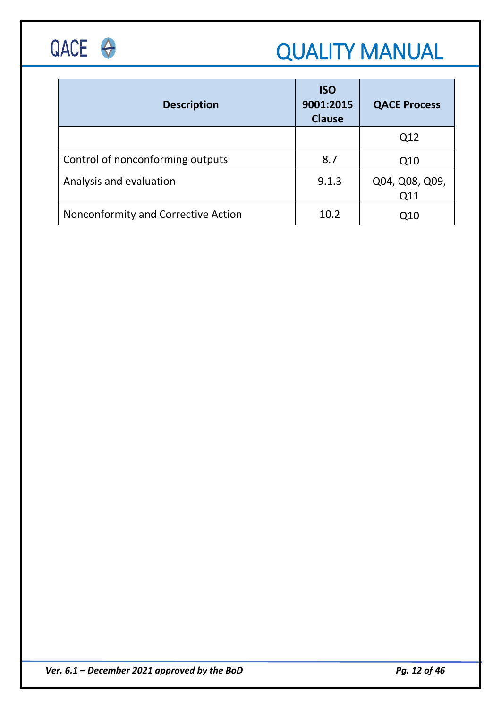

| <b>Description</b>                  | <b>ISO</b><br>9001:2015<br><b>Clause</b> | <b>QACE Process</b>   |
|-------------------------------------|------------------------------------------|-----------------------|
|                                     |                                          | Q12                   |
| Control of nonconforming outputs    | 8.7                                      | Q10                   |
| Analysis and evaluation             | 9.1.3                                    | Q04, Q08, Q09,<br>Q11 |
| Nonconformity and Corrective Action | 10.2                                     | Q10                   |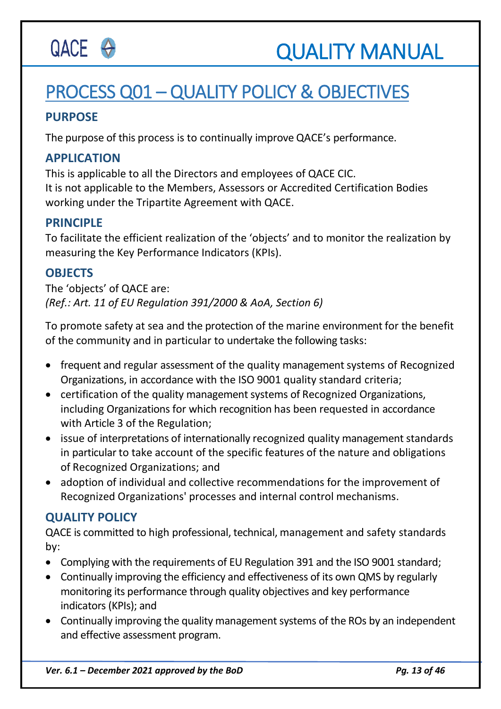

### <span id="page-12-0"></span>PROCESS Q01 – QUALITY POLICY & OBJECTIVES

#### **PURPOSE**

The purpose of this process is to continually improve QACE's performance.

#### **APPLICATION**

This is applicable to all the Directors and employees of QACE CIC. It is not applicable to the Members, Assessors or Accredited Certification Bodies working under the Tripartite Agreement with QACE.

#### **PRINCIPLE**

To facilitate the efficient realization of the 'objects' and to monitor the realization by measuring the Key Performance Indicators (KPIs).

#### **OBJECTS**

The 'objects' of QACE are: *(Ref.: Art. 11 of EU Regulation 391/2000 & AoA, Section 6)*

To promote safety at sea and the protection of the marine environment for the benefit of the community and in particular to undertake the following tasks:

- frequent and regular assessment of the quality management systems of Recognized Organizations, in accordance with the ISO 9001 quality standard criteria;
- certification of the quality management systems of Recognized Organizations, including Organizations for which recognition has been requested in accordance with Article 3 of the Regulation;
- issue of interpretations of internationally recognized quality management standards in particular to take account of the specific features of the nature and obligations of Recognized Organizations; and
- adoption of individual and collective recommendations for the improvement of Recognized Organizations' processes and internal control mechanisms.

#### **QUALITY POLICY**

QACE is committed to high professional, technical, management and safety standards by:

- Complying with the requirements of EU Regulation 391 and the ISO 9001 standard;
- Continually improving the efficiency and effectiveness of its own QMS by regularly monitoring its performance through quality objectives and key performance indicators (KPIs); and
- Continually improving the quality management systems of the ROs by an independent and effective assessment program.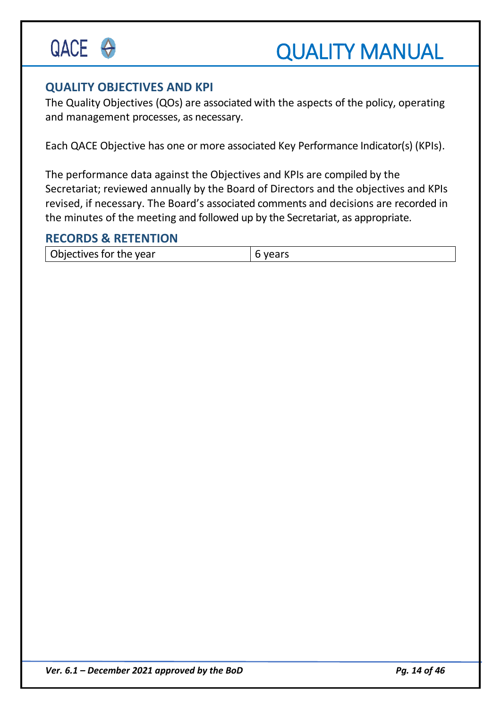

#### **QUALITY OBJECTIVES AND KPI**

The Quality Objectives (QOs) are associated with the aspects of the policy, operating and management processes, as necessary.

Each QACE Objective has one or more associated Key Performance Indicator(s) (KPIs).

The performance data against the Objectives and KPIs are compiled by the Secretariat; reviewed annually by the Board of Directors and the objectives and KPIs revised, if necessary. The Board's associated comments and decisions are recorded in the minutes of the meeting and followed up by the Secretariat, as appropriate.

| Objectives for the year | b vears |
|-------------------------|---------|
|-------------------------|---------|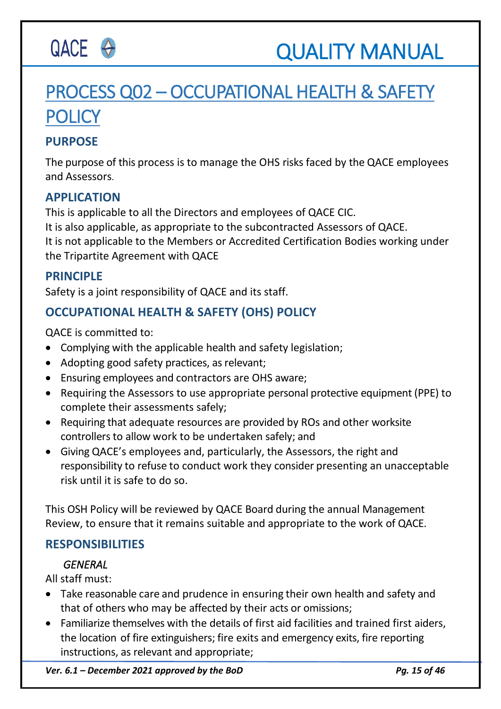

### <span id="page-14-0"></span>PROCESS Q02 – OCCUPATIONAL HEALTH & SAFETY **POLICY**

### **PURPOSE**

The purpose of this process is to manage the OHS risks faced by the QACE employees and Assessors.

#### **APPLICATION**

This is applicable to all the Directors and employees of QACE CIC. It is also applicable, as appropriate to the subcontracted Assessors of QACE. It is not applicable to the Members or Accredited Certification Bodies working under the Tripartite Agreement with QACE

#### **PRINCIPLE**

Safety is a joint responsibility of QACE and its staff.

### **OCCUPATIONAL HEALTH & SAFETY (OHS) POLICY**

QACE is committed to:

- Complying with the applicable health and safety legislation;
- Adopting good safety practices, as relevant;
- Ensuring employees and contractors are OHS aware;
- Requiring the Assessors to use appropriate personal protective equipment (PPE) to complete their assessments safely;
- Requiring that adequate resources are provided by ROs and other worksite controllers to allow work to be undertaken safely; and
- Giving QACE's employees and, particularly, the Assessors, the right and responsibility to refuse to conduct work they consider presenting an unacceptable risk until it is safe to do so.

This OSH Policy will be reviewed by QACE Board during the annual Management Review, to ensure that it remains suitable and appropriate to the work of QACE.

#### **RESPONSIBILITIES**

#### *GENERAL*

All staff must:

- Take reasonable care and prudence in ensuring their own health and safety and that of others who may be affected by their acts or omissions;
- Familiarize themselves with the details of first aid facilities and trained first aiders, the location of fire extinguishers; fire exits and emergency exits, fire reporting instructions, as relevant and appropriate;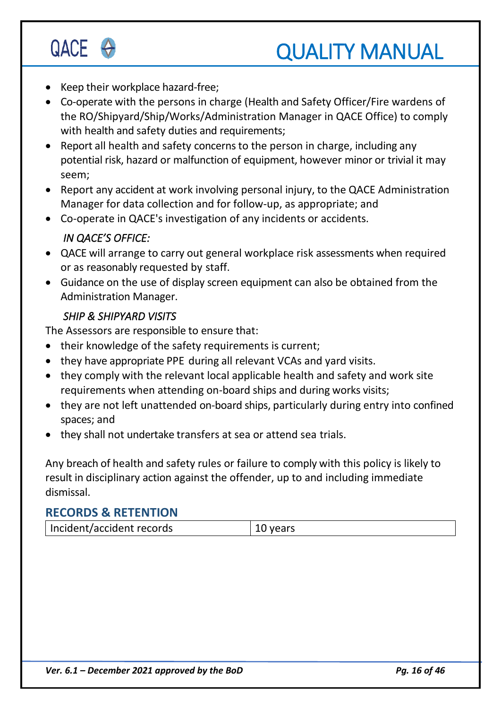

- Keep their workplace hazard-free;
- Co-operate with the persons in charge (Health and Safety Officer/Fire wardens of the RO/Shipyard/Ship/Works/Administration Manager in QACE Office) to comply with health and safety duties and requirements;
- Report all health and safety concerns to the person in charge, including any potential risk, hazard or malfunction of equipment, however minor or trivial it may seem;
- Report any accident at work involving personal injury, to the QACE Administration Manager for data collection and for follow-up, as appropriate; and
- Co-operate in QACE's investigation of any incidents or accidents.

#### *IN QACE'S OFFICE:*

- QACE will arrange to carry out general workplace risk assessments when required or as reasonably requested by staff.
- Guidance on the use of display screen equipment can also be obtained from the Administration Manager.

#### *SHIP & SHIPYARD VISITS*

The Assessors are responsible to ensure that:

- their knowledge of the safety requirements is current;
- they have appropriate PPE during all relevant VCAs and yard visits.
- they comply with the relevant local applicable health and safety and work site requirements when attending on-board ships and during works visits;
- they are not left unattended on-board ships, particularly during entry into confined spaces; and
- they shall not undertake transfers at sea or attend sea trials.

Any breach of health and safety rules or failure to comply with this policy is likely to result in disciplinary action against the offender, up to and including immediate dismissal.

| Incident/accident records | 10 years |
|---------------------------|----------|
|---------------------------|----------|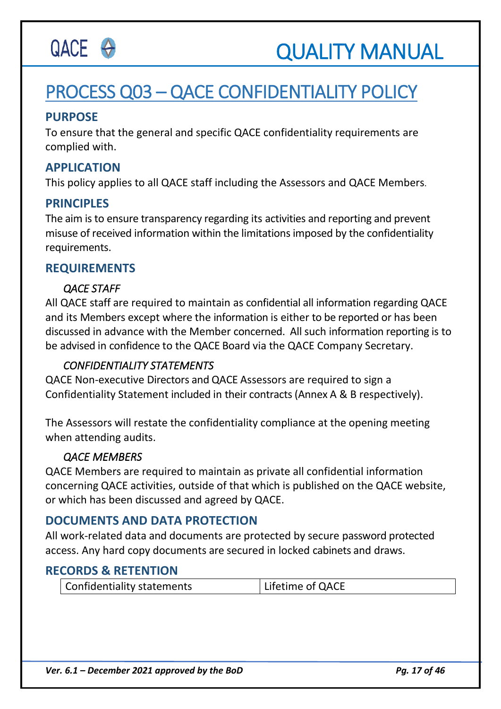

### <span id="page-16-0"></span>PROCESS Q03 – QACE CONFIDENTIALITY POLICY

#### **PURPOSE**

To ensure that the general and specific QACE confidentiality requirements are complied with.

#### **APPLICATION**

This policy applies to all QACE staff including the Assessors and QACE Members.

#### **PRINCIPLES**

The aim is to ensure transparency regarding its activities and reporting and prevent misuse of received information within the limitations imposed by the confidentiality requirements.

#### **REQUIREMENTS**

#### *QACE STAFF*

All QACE staff are required to maintain as confidential all information regarding QACE and its Members except where the information is either to be reported or has been discussed in advance with the Member concerned. All such information reporting is to be advised in confidence to the QACE Board via the QACE Company Secretary.

#### *CONFIDENTIALITY STATEMENTS*

QACE Non-executive Directors and QACE Assessors are required to sign a Confidentiality Statement included in their contracts (Annex A & B respectively).

The Assessors will restate the confidentiality compliance at the opening meeting when attending audits.

#### *QACE MEMBERS*

QACE Members are required to maintain as private all confidential information concerning QACE activities, outside of that which is published on the QACE website, or which has been discussed and agreed by QACE.

#### **DOCUMENTS AND DATA PROTECTION**

All work-related data and documents are protected by secure password protected access. Any hard copy documents are secured in locked cabinets and draws.

| Confidentiality statements | Lifetime of QACE |
|----------------------------|------------------|
|----------------------------|------------------|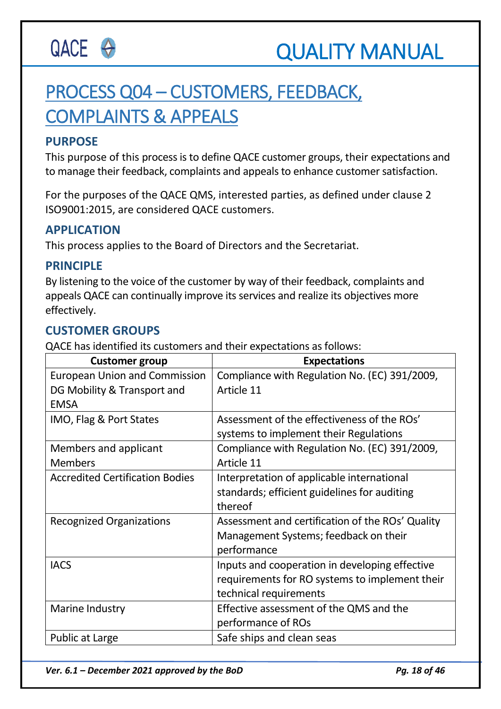

### <span id="page-17-0"></span>PROCESS Q04 – CUSTOMERS, FEEDBACK, COMPLAINTS & APPEALS

#### **PURPOSE**

This purpose of this process is to define QACE customer groups, their expectations and to manage their feedback, complaints and appeals to enhance customer satisfaction.

For the purposes of the QACE QMS, interested parties, as defined under clause 2 ISO9001:2015, are considered QACE customers.

#### **APPLICATION**

This process applies to the Board of Directors and the Secretariat.

#### **PRINCIPLE**

By listening to the voice of the customer by way of their feedback, complaints and appeals QACE can continually improve its services and realize its objectives more effectively.

#### **CUSTOMER GROUPS**

QACE has identified its customers and their expectations as follows:

| <b>Customer group</b>                  | <b>Expectations</b>                              |  |
|----------------------------------------|--------------------------------------------------|--|
| <b>European Union and Commission</b>   | Compliance with Regulation No. (EC) 391/2009,    |  |
| DG Mobility & Transport and            | Article 11                                       |  |
| <b>EMSA</b>                            |                                                  |  |
| IMO, Flag & Port States                | Assessment of the effectiveness of the ROs'      |  |
|                                        | systems to implement their Regulations           |  |
| Members and applicant                  | Compliance with Regulation No. (EC) 391/2009,    |  |
| <b>Members</b>                         | Article 11                                       |  |
| <b>Accredited Certification Bodies</b> | Interpretation of applicable international       |  |
|                                        | standards; efficient guidelines for auditing     |  |
|                                        | thereof                                          |  |
| <b>Recognized Organizations</b>        | Assessment and certification of the ROs' Quality |  |
|                                        | Management Systems; feedback on their            |  |
|                                        | performance                                      |  |
| <b>IACS</b>                            | Inputs and cooperation in developing effective   |  |
|                                        | requirements for RO systems to implement their   |  |
|                                        | technical requirements                           |  |
| Marine Industry                        | Effective assessment of the QMS and the          |  |
|                                        | performance of ROs                               |  |
| Public at Large                        | Safe ships and clean seas                        |  |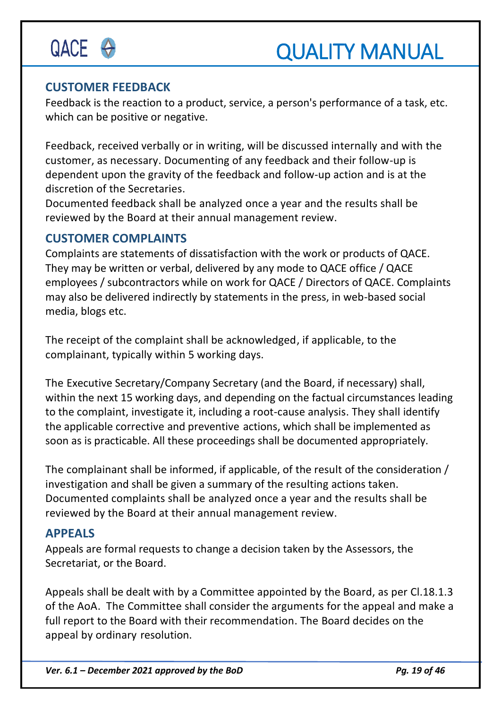

#### **CUSTOMER FEEDBACK**

Feedback is the reaction to a product, service, a person's performance of a task, etc. which can be positive or negative.

Feedback, received verbally or in writing, will be discussed internally and with the customer, as necessary. Documenting of any feedback and their follow-up is dependent upon the gravity of the feedback and follow-up action and is at the discretion of the Secretaries.

Documented feedback shall be analyzed once a year and the results shall be reviewed by the Board at their annual management review.

#### **CUSTOMER COMPLAINTS**

Complaints are statements of dissatisfaction with the work or products of QACE. They may be written or verbal, delivered by any mode to QACE office / QACE employees / subcontractors while on work for QACE / Directors of QACE. Complaints may also be delivered indirectly by statements in the press, in web-based social media, blogs etc.

The receipt of the complaint shall be acknowledged, if applicable, to the complainant, typically within 5 working days.

The Executive Secretary/Company Secretary (and the Board, if necessary) shall, within the next 15 working days, and depending on the factual circumstances leading to the complaint, investigate it, including a root-cause analysis. They shall identify the applicable corrective and preventive actions, which shall be implemented as soon as is practicable. All these proceedings shall be documented appropriately.

The complainant shall be informed, if applicable, of the result of the consideration / investigation and shall be given a summary of the resulting actions taken. Documented complaints shall be analyzed once a year and the results shall be reviewed by the Board at their annual management review.

#### **APPEALS**

Appeals are formal requests to change a decision taken by the Assessors, the Secretariat, or the Board.

Appeals shall be dealt with by a Committee appointed by the Board, as per Cl.18.1.3 of the AoA. The Committee shall consider the arguments for the appeal and make a full report to the Board with their recommendation. The Board decides on the appeal by ordinary resolution.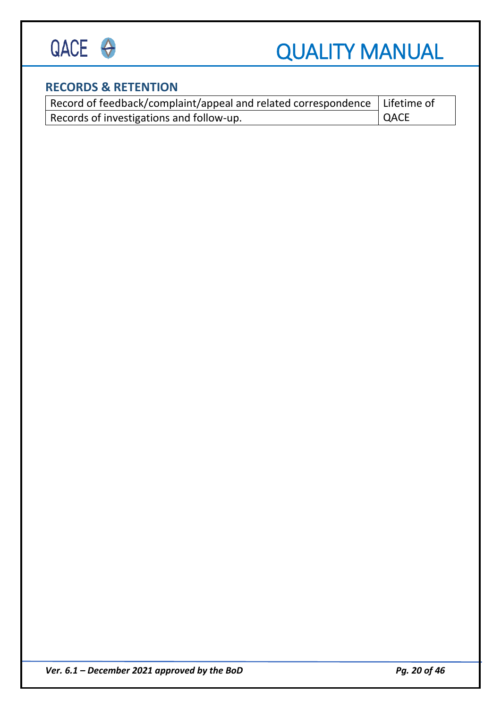

| Record of feedback/complaint/appeal and related correspondence   Lifetime of |             |
|------------------------------------------------------------------------------|-------------|
| Records of investigations and follow-up.                                     | <b>QACE</b> |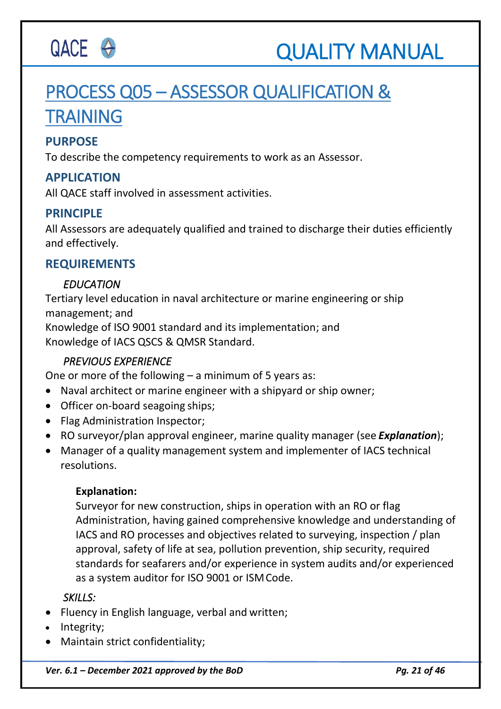

### <span id="page-20-0"></span>PROCESS Q05 – ASSESSOR QUALIFICATION & **TRAINING**

#### **PURPOSE**

To describe the competency requirements to work as an Assessor.

#### **APPLICATION**

All QACE staff involved in assessment activities.

#### **PRINCIPLE**

All Assessors are adequately qualified and trained to discharge their duties efficiently and effectively.

#### **REQUIREMENTS**

#### *EDUCATION*

Tertiary level education in naval architecture or marine engineering or ship management; and Knowledge of ISO 9001 standard and its implementation; and Knowledge of IACS QSCS & QMSR Standard.

#### *PREVIOUS EXPERIENCE*

One or more of the following – a minimum of 5 years as:

- Naval architect or marine engineer with a shipyard or ship owner;
- Officer on-board seagoing ships;
- Flag Administration Inspector;
- RO surveyor/plan approval engineer, marine quality manager (see *Explanation*);
- Manager of a quality management system and implementer of IACS technical resolutions.

#### **Explanation:**

Surveyor for new construction, ships in operation with an RO or flag Administration, having gained comprehensive knowledge and understanding of IACS and RO processes and objectives related to surveying, inspection / plan approval, safety of life at sea, pollution prevention, ship security, required standards for seafarers and/or experience in system audits and/or experienced as a system auditor for ISO 9001 or ISMCode.

#### *SKILLS:*

- Fluency in English language, verbal and written;
- Integrity;
- Maintain strict confidentiality;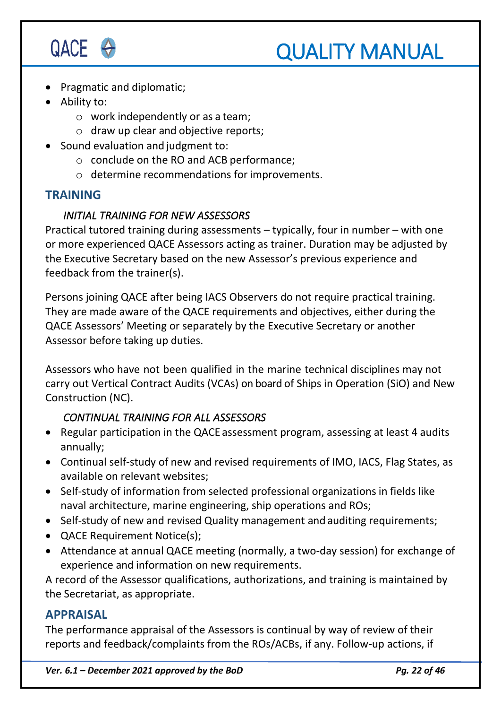



- Pragmatic and diplomatic;
- Ability to:
	- $\circ$  work independently or as a team;
	- o draw up clear and objective reports;
- Sound evaluation and judgment to:
	- o conclude on the RO and ACB performance;
	- o determine recommendations for improvements.

#### **TRAINING**

#### *INITIAL TRAINING FOR NEW ASSESSORS*

Practical tutored training during assessments – typically, four in number – with one or more experienced QACE Assessors acting as trainer. Duration may be adjusted by the Executive Secretary based on the new Assessor's previous experience and feedback from the trainer(s).

Persons joining QACE after being IACS Observers do not require practical training. They are made aware of the QACE requirements and objectives, either during the QACE Assessors' Meeting or separately by the Executive Secretary or another Assessor before taking up duties.

Assessors who have not been qualified in the marine technical disciplines may not carry out Vertical Contract Audits (VCAs) on board of Ships in Operation (SiO) and New Construction (NC).

#### *CONTINUAL TRAINING FOR ALL ASSESSORS*

- Regular participation in the QACE assessment program, assessing at least 4 audits annually;
- Continual self-study of new and revised requirements of IMO, IACS, Flag States, as available on relevant websites;
- Self-study of information from selected professional organizations in fields like naval architecture, marine engineering, ship operations and ROs;
- Self-study of new and revised Quality management and auditing requirements;
- QACE Requirement Notice(s);
- Attendance at annual QACE meeting (normally, a two-day session) for exchange of experience and information on new requirements.

A record of the Assessor qualifications, authorizations, and training is maintained by the Secretariat, as appropriate.

#### **APPRAISAL**

The performance appraisal of the Assessors is continual by way of review of their reports and feedback/complaints from the ROs/ACBs, if any. Follow-up actions, if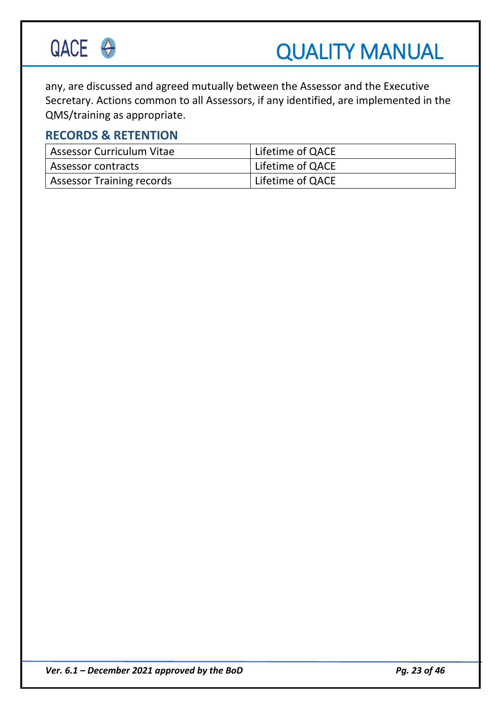

any, are discussed and agreed mutually between the Assessor and the Executive Secretary. Actions common to all Assessors, if any identified, are implemented in the QMS/training as appropriate.

| <sup>1</sup> Assessor Curriculum Vitae | Lifetime of QACE |  |
|----------------------------------------|------------------|--|
| Assessor contracts                     | Lifetime of QACE |  |
| Assessor Training records              | Lifetime of QACE |  |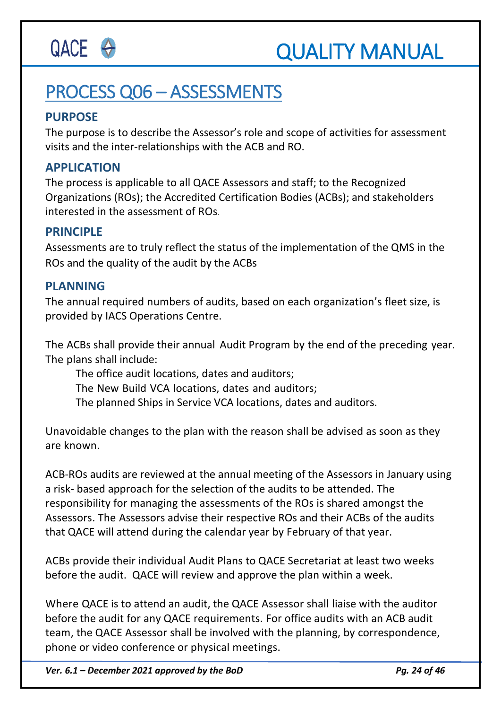

### <span id="page-23-0"></span>PROCESS Q06 – ASSESSMENTS

#### **PURPOSE**

The purpose is to describe the Assessor's role and scope of activities for assessment visits and the inter-relationships with the ACB and RO.

#### **APPLICATION**

The process is applicable to all QACE Assessors and staff; to the Recognized Organizations (ROs); the Accredited Certification Bodies (ACBs); and stakeholders interested in the assessment of ROs.

#### **PRINCIPLE**

Assessments are to truly reflect the status of the implementation of the QMS in the ROs and the quality of the audit by the ACBs

#### **PLANNING**

The annual required numbers of audits, based on each organization's fleet size, is provided by IACS Operations Centre.

The ACBs shall provide their annual Audit Program by the end of the preceding year. The plans shall include:

The office audit locations, dates and auditors; The New Build VCA locations, dates and auditors; The planned Ships in Service VCA locations, dates and auditors.

Unavoidable changes to the plan with the reason shall be advised as soon as they are known.

ACB-ROs audits are reviewed at the annual meeting of the Assessors in January using a risk- based approach for the selection of the audits to be attended. The responsibility for managing the assessments of the ROs is shared amongst the Assessors. The Assessors advise their respective ROs and their ACBs of the audits that QACE will attend during the calendar year by February of that year.

ACBs provide their individual Audit Plans to QACE Secretariat at least two weeks before the audit. QACE will review and approve the plan within a week.

Where QACE is to attend an audit, the QACE Assessor shall liaise with the auditor before the audit for any QACE requirements. For office audits with an ACB audit team, the QACE Assessor shall be involved with the planning, by correspondence, phone or video conference or physical meetings.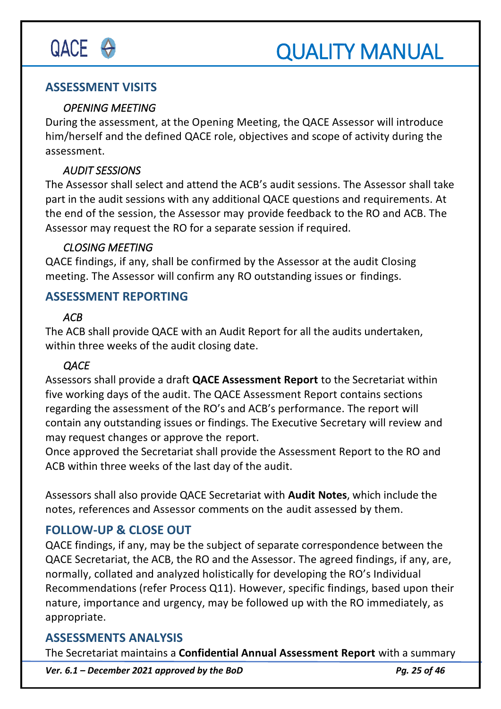

#### **ASSESSMENT VISITS**

#### *OPENING MEETING*

During the assessment, at the Opening Meeting, the QACE Assessor will introduce him/herself and the defined QACE role, objectives and scope of activity during the assessment.

#### *AUDIT SESSIONS*

The Assessor shall select and attend the ACB's audit sessions. The Assessor shall take part in the audit sessions with any additional QACE questions and requirements. At the end of the session, the Assessor may provide feedback to the RO and ACB. The Assessor may request the RO for a separate session if required.

#### *CLOSING MEETING*

QACE findings, if any, shall be confirmed by the Assessor at the audit Closing meeting. The Assessor will confirm any RO outstanding issues or findings.

#### **ASSESSMENT REPORTING**

#### *ACB*

The ACB shall provide QACE with an Audit Report for all the audits undertaken, within three weeks of the audit closing date.

#### *QACE*

Assessors shall provide a draft **QACE Assessment Report** to the Secretariat within five working days of the audit. The QACE Assessment Report contains sections regarding the assessment of the RO's and ACB's performance. The report will contain any outstanding issues or findings. The Executive Secretary will review and may request changes or approve the report.

Once approved the Secretariat shall provide the Assessment Report to the RO and ACB within three weeks of the last day of the audit.

Assessors shall also provide QACE Secretariat with **Audit Notes**, which include the notes, references and Assessor comments on the audit assessed by them.

#### **FOLLOW-UP & CLOSE OUT**

QACE findings, if any, may be the subject of separate correspondence between the QACE Secretariat, the ACB, the RO and the Assessor. The agreed findings, if any, are, normally, collated and analyzed holistically for developing the RO's Individual Recommendations (refer Process Q11). However, specific findings, based upon their nature, importance and urgency, may be followed up with the RO immediately, as appropriate.

#### **ASSESSMENTS ANALYSIS**

The Secretariat maintains a **Confidential Annual Assessment Report** with a summary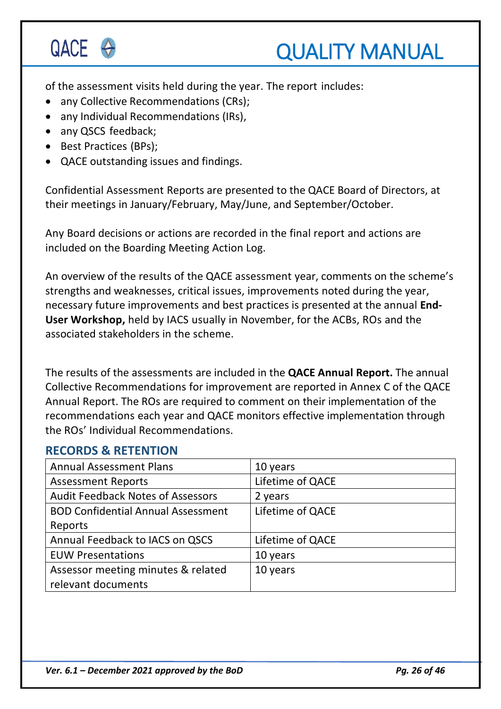

of the assessment visits held during the year. The report includes:

- any Collective Recommendations (CRs);
- any Individual Recommendations (IRs).
- any QSCS feedback;
- Best Practices (BPs);
- QACE outstanding issues and findings.

Confidential Assessment Reports are presented to the QACE Board of Directors, at their meetings in January/February, May/June, and September/October.

Any Board decisions or actions are recorded in the final report and actions are included on the Boarding Meeting Action Log.

An overview of the results of the QACE assessment year, comments on the scheme's strengths and weaknesses, critical issues, improvements noted during the year, necessary future improvements and best practices is presented at the annual **End-User Workshop,** held by IACS usually in November, for the ACBs, ROs and the associated stakeholders in the scheme.

The results of the assessments are included in the **QACE Annual Report.** The annual Collective Recommendations for improvement are reported in Annex C of the QACE Annual Report. The ROs are required to comment on their implementation of the recommendations each year and QACE monitors effective implementation through the ROs' Individual Recommendations.

| <b>Annual Assessment Plans</b>            | 10 years         |
|-------------------------------------------|------------------|
| <b>Assessment Reports</b>                 | Lifetime of QACE |
| <b>Audit Feedback Notes of Assessors</b>  | 2 years          |
| <b>BOD Confidential Annual Assessment</b> | Lifetime of QACE |
| Reports                                   |                  |
| Annual Feedback to IACS on QSCS           | Lifetime of QACE |
| <b>EUW Presentations</b>                  | 10 years         |
| Assessor meeting minutes & related        | 10 years         |
| relevant documents                        |                  |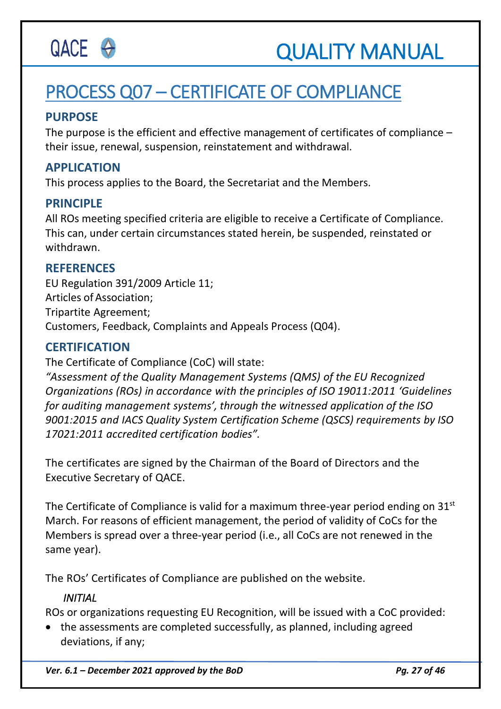

### <span id="page-26-0"></span>PROCESS Q07 – CERTIFICATE OF COMPLIANCE

#### **PURPOSE**

The purpose is the efficient and effective management of certificates of compliance – their issue, renewal, suspension, reinstatement and withdrawal.

#### **APPLICATION**

This process applies to the Board, the Secretariat and the Members.

#### **PRINCIPLE**

All ROs meeting specified criteria are eligible to receive a Certificate of Compliance. This can, under certain circumstances stated herein, be suspended, reinstated or withdrawn.

#### **REFERENCES**

EU Regulation 391/2009 Article 11; Articles of Association; Tripartite Agreement; Customers, Feedback, Complaints and Appeals Process (Q04).

#### **CERTIFICATION**

The Certificate of Compliance (CoC) will state:

*"Assessment of the Quality Management Systems (QMS) of the EU Recognized Organizations (ROs) in accordance with the principles of ISO 19011:2011 'Guidelines for auditing management systems', through the witnessed application of the ISO 9001:2015 and IACS Quality System Certification Scheme (QSCS) requirements by ISO 17021:2011 accredited certification bodies".*

The certificates are signed by the Chairman of the Board of Directors and the Executive Secretary of QACE.

The Certificate of Compliance is valid for a maximum three-year period ending on  $31<sup>st</sup>$ March. For reasons of efficient management, the period of validity of CoCs for the Members is spread over a three-year period (i.e., all CoCs are not renewed in the same year).

The ROs' Certificates of Compliance are published on the website.

#### *INITIAL*

ROs or organizations requesting EU Recognition, will be issued with a CoC provided:

• the assessments are completed successfully, as planned, including agreed deviations, if any;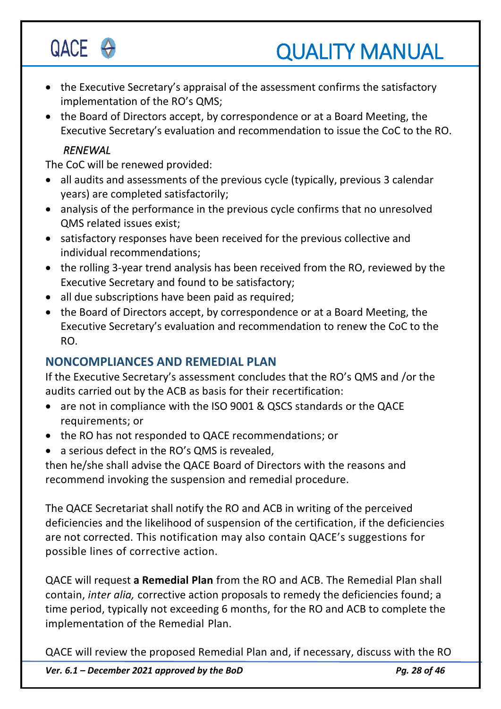- 
- the Executive Secretary's appraisal of the assessment confirms the satisfactory implementation of the RO's QMS;
- the Board of Directors accept, by correspondence or at a Board Meeting, the Executive Secretary's evaluation and recommendation to issue the CoC to the RO.

#### *RENEWAL*

The CoC will be renewed provided:

- all audits and assessments of the previous cycle (typically, previous 3 calendar years) are completed satisfactorily;
- analysis of the performance in the previous cycle confirms that no unresolved QMS related issues exist;
- satisfactory responses have been received for the previous collective and individual recommendations;
- the rolling 3-year trend analysis has been received from the RO, reviewed by the Executive Secretary and found to be satisfactory;
- all due subscriptions have been paid as required;
- the Board of Directors accept, by correspondence or at a Board Meeting, the Executive Secretary's evaluation and recommendation to renew the CoC to the RO.

### **NONCOMPLIANCES AND REMEDIAL PLAN**

If the Executive Secretary's assessment concludes that the RO's QMS and /or the audits carried out by the ACB as basis for their recertification:

- are not in compliance with the ISO 9001 & QSCS standards or the QACE requirements; or
- the RO has not responded to QACE recommendations; or
- a serious defect in the RO's QMS is revealed,

then he/she shall advise the QACE Board of Directors with the reasons and recommend invoking the suspension and remedial procedure.

The QACE Secretariat shall notify the RO and ACB in writing of the perceived deficiencies and the likelihood of suspension of the certification, if the deficiencies are not corrected. This notification may also contain QACE's suggestions for possible lines of corrective action.

QACE will request **a Remedial Plan** from the RO and ACB. The Remedial Plan shall contain, *inter alia,* corrective action proposals to remedy the deficiencies found; a time period, typically not exceeding 6 months, for the RO and ACB to complete the implementation of the Remedial Plan.

QACE will review the proposed Remedial Plan and, if necessary, discuss with the RO

*Ver.* 6.1 – December 2021 approved by the BoD Pg. 28 of 46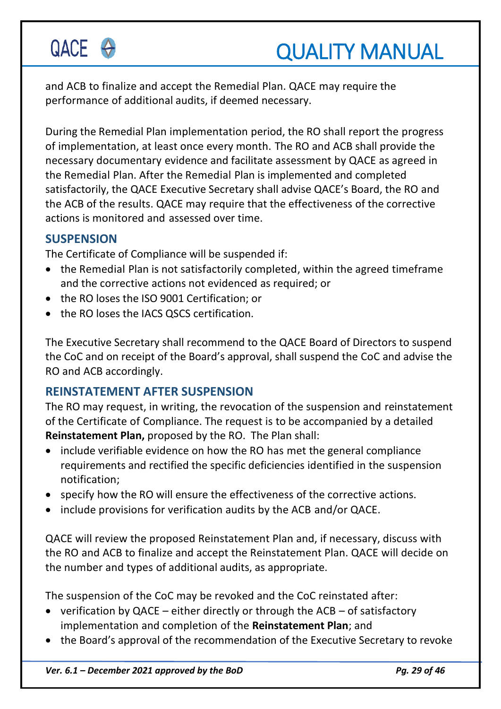and ACB to finalize and accept the Remedial Plan. QACE may require the performance of additional audits, if deemed necessary.

During the Remedial Plan implementation period, the RO shall report the progress of implementation, at least once every month. The RO and ACB shall provide the necessary documentary evidence and facilitate assessment by QACE as agreed in the Remedial Plan. After the Remedial Plan is implemented and completed satisfactorily, the QACE Executive Secretary shall advise QACE's Board, the RO and the ACB of the results. QACE may require that the effectiveness of the corrective actions is monitored and assessed over time.

#### **SUSPENSION**

The Certificate of Compliance will be suspended if:

- the Remedial Plan is not satisfactorily completed, within the agreed timeframe and the corrective actions not evidenced as required; or
- the RO loses the ISO 9001 Certification; or
- the RO loses the IACS QSCS certification.

The Executive Secretary shall recommend to the QACE Board of Directors to suspend the CoC and on receipt of the Board's approval, shall suspend the CoC and advise the RO and ACB accordingly.

#### **REINSTATEMENT AFTER SUSPENSION**

The RO may request, in writing, the revocation of the suspension and reinstatement of the Certificate of Compliance. The request is to be accompanied by a detailed **Reinstatement Plan,** proposed by the RO. The Plan shall:

- include verifiable evidence on how the RO has met the general compliance requirements and rectified the specific deficiencies identified in the suspension notification;
- specify how the RO will ensure the effectiveness of the corrective actions.
- include provisions for verification audits by the ACB and/or QACE.

QACE will review the proposed Reinstatement Plan and, if necessary, discuss with the RO and ACB to finalize and accept the Reinstatement Plan. QACE will decide on the number and types of additional audits, as appropriate.

The suspension of the CoC may be revoked and the CoC reinstated after:

- verification by QACE either directly or through the ACB of satisfactory implementation and completion of the **Reinstatement Plan**; and
- the Board's approval of the recommendation of the Executive Secretary to revoke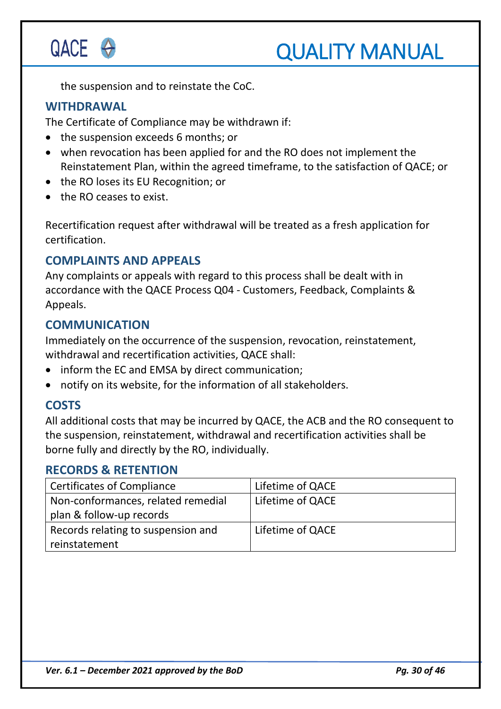

the suspension and to reinstate the CoC.

#### **WITHDRAWAL**

The Certificate of Compliance may be withdrawn if:

- the suspension exceeds 6 months; or
- when revocation has been applied for and the RO does not implement the Reinstatement Plan, within the agreed timeframe, to the satisfaction of QACE; or
- the RO loses its EU Recognition; or
- the RO ceases to exist.

Recertification request after withdrawal will be treated as a fresh application for certification.

#### **COMPLAINTS AND APPEALS**

Any complaints or appeals with regard to this process shall be dealt with in accordance with the QACE Process Q04 - Customers, Feedback, Complaints & Appeals.

#### **COMMUNICATION**

Immediately on the occurrence of the suspension, revocation, reinstatement, withdrawal and recertification activities, QACE shall:

- inform the EC and EMSA by direct communication;
- notify on its website, for the information of all stakeholders.

#### **COSTS**

All additional costs that may be incurred by QACE, the ACB and the RO consequent to the suspension, reinstatement, withdrawal and recertification activities shall be borne fully and directly by the RO, individually.

| Certificates of Compliance         | Lifetime of QACE |
|------------------------------------|------------------|
| Non-conformances, related remedial | Lifetime of QACE |
| plan & follow-up records           |                  |
| Records relating to suspension and | Lifetime of QACE |
| reinstatement                      |                  |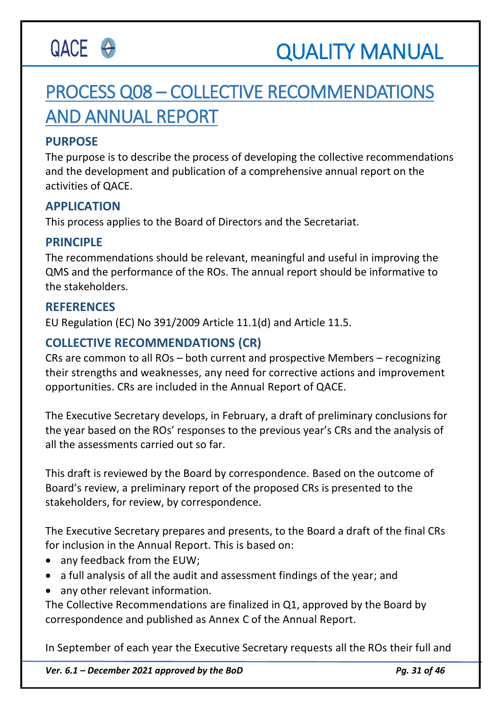

### <span id="page-30-0"></span>PROCESS Q08 – COLLECTIVE RECOMMENDATIONS AND ANNUAL REPORT

#### **PURPOSE**

The purpose is to describe the process of developing the collective recommendations and the development and publication of a comprehensive annual report on the activities of QACE.

#### **APPLICATION**

This process applies to the Board of Directors and the Secretariat.

#### **PRINCIPLE**

The recommendations should be relevant, meaningful and useful in improving the QMS and the performance of the ROs. The annual report should be informative to the stakeholders.

#### **REFERENCES**

EU Regulation (EC) No 391/2009 Article 11.1(d) and Article 11.5.

#### **COLLECTIVE RECOMMENDATIONS (CR)**

CRs are common to all ROs – both current and prospective Members – recognizing their strengths and weaknesses, any need for corrective actions and improvement opportunities. CRs are included in the Annual Report of QACE.

The Executive Secretary develops, in February, a draft of preliminary conclusions for the year based on the ROs' responses to the previous year's CRs and the analysis of all the assessments carried out so far.

This draft is reviewed by the Board by correspondence. Based on the outcome of Board's review, a preliminary report of the proposed CRs is presented to the stakeholders, for review, by correspondence.

The Executive Secretary prepares and presents, to the Board a draft of the final CRs for inclusion in the Annual Report. This is based on:

- any feedback from the EUW;
- a full analysis of all the audit and assessment findings of the year; and
- any other relevant information.

The Collective Recommendations are finalized in Q1, approved by the Board by correspondence and published as Annex C of the Annual Report.

In September of each year the Executive Secretary requests all the ROs their full and

*Ver.* 6.1 – December 2021 approved by the BoD Pg. 31 of 46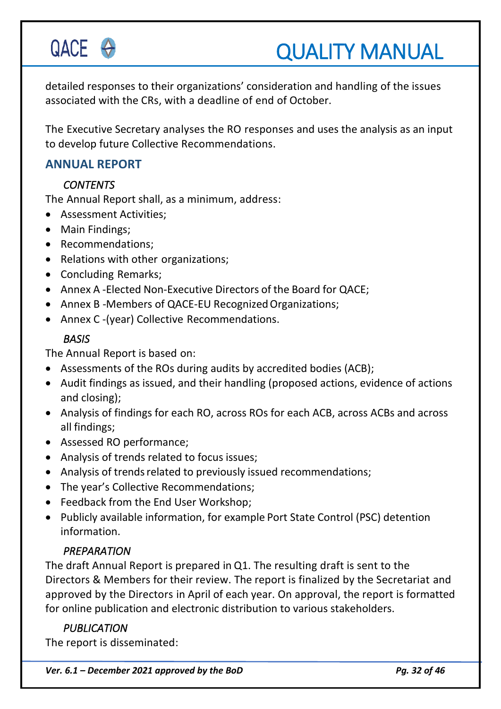detailed responses to their organizations' consideration and handling of the issues associated with the CRs, with a deadline of end of October.

The Executive Secretary analyses the RO responses and uses the analysis as an input to develop future Collective Recommendations.

#### **ANNUAL REPORT**

#### *CONTENTS*

The Annual Report shall, as a minimum, address:

- Assessment Activities;
- Main Findings;
- Recommendations;
- Relations with other organizations;
- Concluding Remarks;
- Annex A -Elected Non-Executive Directors of the Board for QACE;
- Annex B-Members of QACE-EU Recognized Organizations;
- Annex C -(year) Collective Recommendations.

#### *BASIS*

The Annual Report is based on:

- Assessments of the ROs during audits by accredited bodies (ACB);
- Audit findings as issued, and their handling (proposed actions, evidence of actions and closing);
- Analysis of findings for each RO, across ROs for each ACB, across ACBs and across all findings;
- Assessed RO performance;
- Analysis of trends related to focus issues;
- Analysis of trends related to previously issued recommendations;
- The year's Collective Recommendations;
- Feedback from the End User Workshop;
- Publicly available information, for example Port State Control (PSC) detention information.

#### *PREPARATION*

The draft Annual Report is prepared in Q1. The resulting draft is sent to the Directors & Members for their review. The report is finalized by the Secretariat and approved by the Directors in April of each year. On approval, the report is formatted for online publication and electronic distribution to various stakeholders.

#### *PUBLICATION*

The report is disseminated: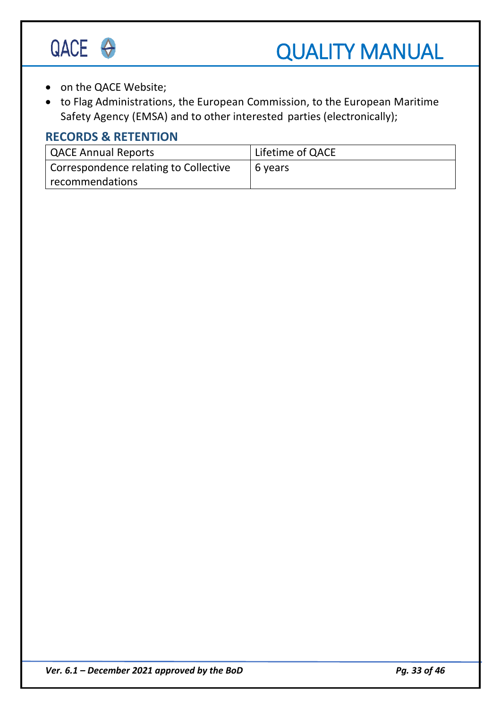

- on the QACE Website;
- to Flag Administrations, the European Commission, to the European Maritime Safety Agency (EMSA) and to other interested parties (electronically);

| QACE Annual Reports                   | Lifetime of QACE |
|---------------------------------------|------------------|
| Correspondence relating to Collective | 6 years          |
| recommendations                       |                  |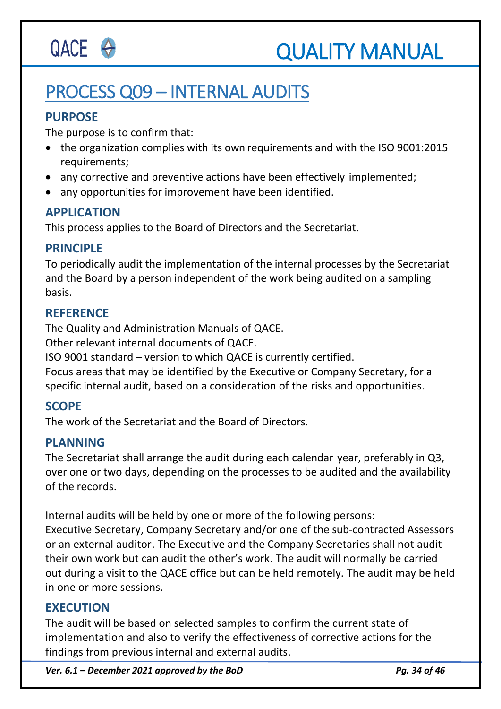

### <span id="page-33-0"></span>PROCESS Q09 – INTERNAL AUDITS

#### **PURPOSE**

The purpose is to confirm that:

- the organization complies with its own requirements and with the ISO 9001:2015 requirements;
- any corrective and preventive actions have been effectively implemented;
- any opportunities for improvement have been identified.

#### **APPLICATION**

This process applies to the Board of Directors and the Secretariat.

#### **PRINCIPLE**

To periodically audit the implementation of the internal processes by the Secretariat and the Board by a person independent of the work being audited on a sampling basis.

#### **REFERENCE**

The Quality and Administration Manuals of QACE.

Other relevant internal documents of QACE.

ISO 9001 standard – version to which QACE is currently certified.

Focus areas that may be identified by the Executive or Company Secretary, for a specific internal audit, based on a consideration of the risks and opportunities.

#### **SCOPE**

The work of the Secretariat and the Board of Directors.

#### **PLANNING**

The Secretariat shall arrange the audit during each calendar year, preferably in Q3, over one or two days, depending on the processes to be audited and the availability of the records.

Internal audits will be held by one or more of the following persons: Executive Secretary, Company Secretary and/or one of the sub-contracted Assessors or an external auditor. The Executive and the Company Secretaries shall not audit their own work but can audit the other's work. The audit will normally be carried out during a visit to the QACE office but can be held remotely. The audit may be held in one or more sessions.

#### **EXECUTION**

The audit will be based on selected samples to confirm the current state of implementation and also to verify the effectiveness of corrective actions for the findings from previous internal and external audits.

*Ver.* 6.1 – December 2021 approved by the BoD Pg. 34 of 46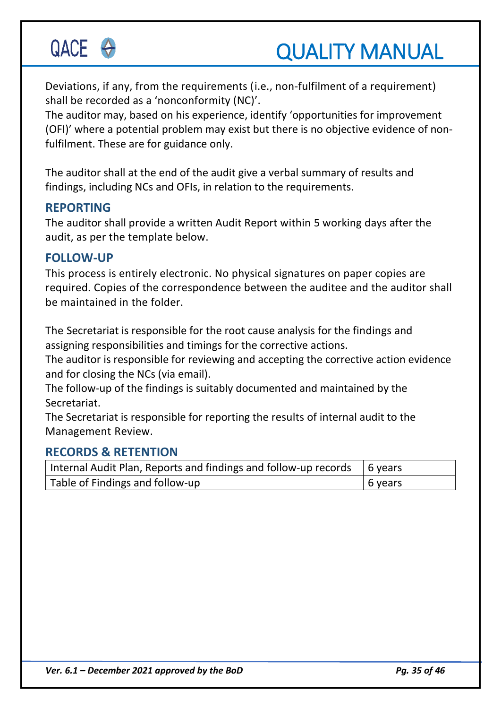

Deviations, if any, from the requirements (i.e., non-fulfilment of a requirement) shall be recorded as a 'nonconformity (NC)'.

The auditor may, based on his experience, identify 'opportunities for improvement (OFI)' where a potential problem may exist but there is no objective evidence of nonfulfilment. These are for guidance only.

The auditor shall at the end of the audit give a verbal summary of results and findings, including NCs and OFIs, in relation to the requirements.

#### **REPORTING**

The auditor shall provide a written Audit Report within 5 working days after the audit, as per the template below.

#### **FOLLOW-UP**

This process is entirely electronic. No physical signatures on paper copies are required. Copies of the correspondence between the auditee and the auditor shall be maintained in the folder.

The Secretariat is responsible for the root cause analysis for the findings and assigning responsibilities and timings for the corrective actions.

The auditor is responsible for reviewing and accepting the corrective action evidence and for closing the NCs (via email).

The follow-up of the findings is suitably documented and maintained by the Secretariat.

The Secretariat is responsible for reporting the results of internal audit to the Management Review.

| Internal Audit Plan, Reports and findings and follow-up records   6 years |            |
|---------------------------------------------------------------------------|------------|
| Table of Findings and follow-up                                           | $ 6$ years |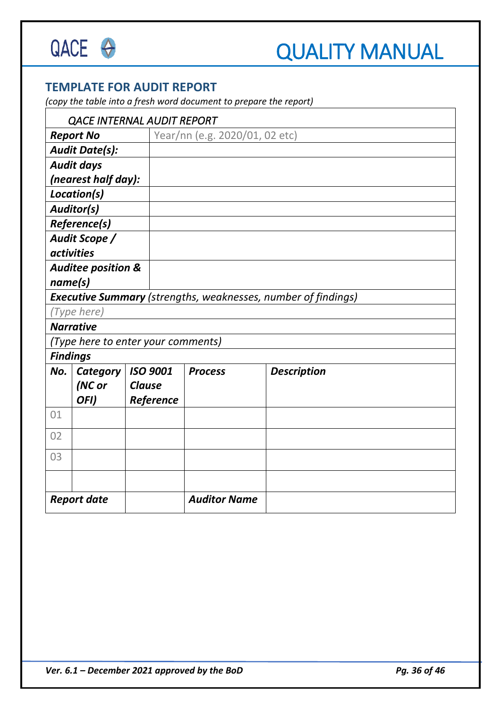

#### **TEMPLATE FOR AUDIT REPORT**

*(copy the table into a fresh word document to prepare the report)*

|                 |                               | <b>QACE INTERNAL AUDIT REPORT</b>  |                                |                                                                      |  |
|-----------------|-------------------------------|------------------------------------|--------------------------------|----------------------------------------------------------------------|--|
|                 | <b>Report No</b>              |                                    | Year/nn (e.g. 2020/01, 02 etc) |                                                                      |  |
|                 | <b>Audit Date(s):</b>         |                                    |                                |                                                                      |  |
|                 | <b>Audit days</b>             |                                    |                                |                                                                      |  |
|                 | (nearest half day):           |                                    |                                |                                                                      |  |
|                 | Location(s)                   |                                    |                                |                                                                      |  |
|                 | <b>Auditor(s)</b>             |                                    |                                |                                                                      |  |
|                 | <b>Reference(s)</b>           |                                    |                                |                                                                      |  |
|                 | Audit Scope /                 |                                    |                                |                                                                      |  |
|                 | <i>activities</i>             |                                    |                                |                                                                      |  |
|                 | <b>Auditee position &amp;</b> |                                    |                                |                                                                      |  |
| name(s)         |                               |                                    |                                |                                                                      |  |
|                 |                               |                                    |                                | <b>Executive Summary</b> (strengths, weaknesses, number of findings) |  |
|                 | (Type here)                   |                                    |                                |                                                                      |  |
|                 | <b>Narrative</b>              |                                    |                                |                                                                      |  |
|                 |                               | (Type here to enter your comments) |                                |                                                                      |  |
| <b>Findings</b> |                               |                                    |                                |                                                                      |  |
| No.<br>Category |                               | <b>ISO 9001</b>                    | <b>Process</b>                 | <b>Description</b>                                                   |  |
|                 | (NC or                        | <b>Clause</b>                      |                                |                                                                      |  |
|                 | OFI)                          | Reference                          |                                |                                                                      |  |
| 01              |                               |                                    |                                |                                                                      |  |
| 02              |                               |                                    |                                |                                                                      |  |
| 03              |                               |                                    |                                |                                                                      |  |
|                 |                               |                                    |                                |                                                                      |  |
|                 | <b>Report date</b>            |                                    | <b>Auditor Name</b>            |                                                                      |  |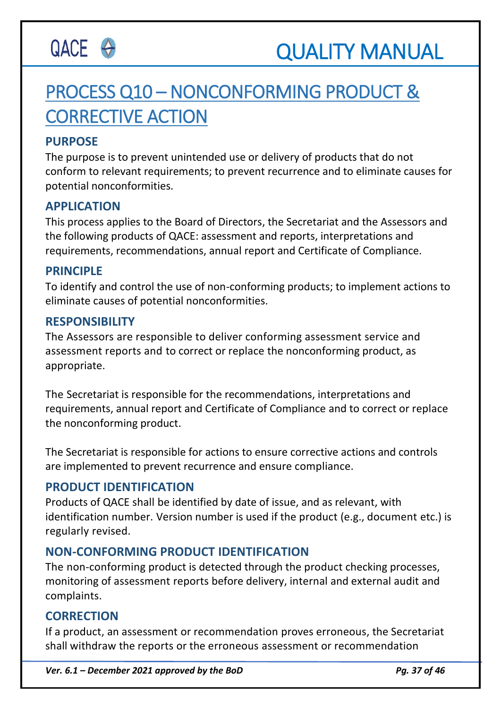

### <span id="page-36-0"></span>PROCESS Q10 – NONCONFORMING PRODUCT & CORRECTIVE ACTION

#### **PURPOSE**

The purpose is to prevent unintended use or delivery of products that do not conform to relevant requirements; to prevent recurrence and to eliminate causes for potential nonconformities.

#### **APPLICATION**

This process applies to the Board of Directors, the Secretariat and the Assessors and the following products of QACE: assessment and reports, interpretations and requirements, recommendations, annual report and Certificate of Compliance.

#### **PRINCIPLE**

To identify and control the use of non-conforming products; to implement actions to eliminate causes of potential nonconformities.

#### **RESPONSIBILITY**

The Assessors are responsible to deliver conforming assessment service and assessment reports and to correct or replace the nonconforming product, as appropriate.

The Secretariat is responsible for the recommendations, interpretations and requirements, annual report and Certificate of Compliance and to correct or replace the nonconforming product.

The Secretariat is responsible for actions to ensure corrective actions and controls are implemented to prevent recurrence and ensure compliance.

#### **PRODUCT IDENTIFICATION**

Products of QACE shall be identified by date of issue, and as relevant, with identification number. Version number is used if the product (e.g., document etc.) is regularly revised.

#### **NON-CONFORMING PRODUCT IDENTIFICATION**

The non-conforming product is detected through the product checking processes, monitoring of assessment reports before delivery, internal and external audit and complaints.

#### **CORRECTION**

If a product, an assessment or recommendation proves erroneous, the Secretariat shall withdraw the reports or the erroneous assessment or recommendation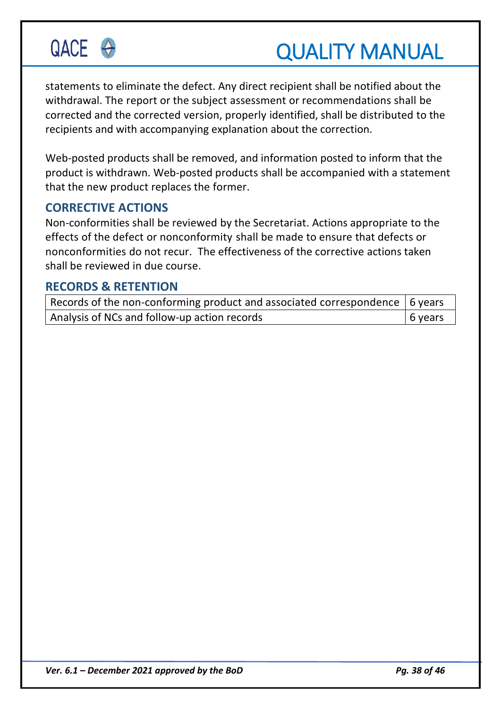

statements to eliminate the defect. Any direct recipient shall be notified about the withdrawal. The report or the subject assessment or recommendations shall be corrected and the corrected version, properly identified, shall be distributed to the recipients and with accompanying explanation about the correction.

Web-posted products shall be removed, and information posted to inform that the product is withdrawn. Web-posted products shall be accompanied with a statement that the new product replaces the former.

#### **CORRECTIVE ACTIONS**

Non-conformities shall be reviewed by the Secretariat. Actions appropriate to the effects of the defect or nonconformity shall be made to ensure that defects or nonconformities do not recur. The effectiveness of the corrective actions taken shall be reviewed in due course.

| Records of the non-conforming product and associated correspondence $\vert$ 6 years |                 |
|-------------------------------------------------------------------------------------|-----------------|
| Analysis of NCs and follow-up action records                                        | $\vert$ 6 years |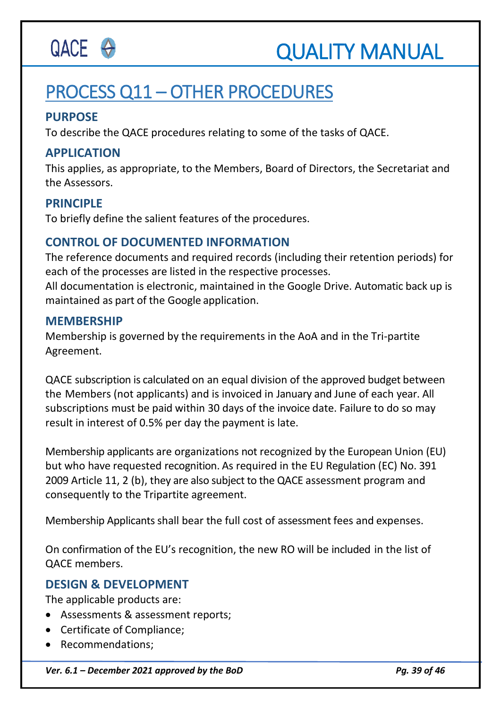

### <span id="page-38-0"></span>PROCESS Q11 – OTHER PROCEDURES

#### **PURPOSE**

To describe the QACE procedures relating to some of the tasks of QACE.

#### **APPLICATION**

This applies, as appropriate, to the Members, Board of Directors, the Secretariat and the Assessors.

#### **PRINCIPLE**

To briefly define the salient features of the procedures.

#### **CONTROL OF DOCUMENTED INFORMATION**

The reference documents and required records (including their retention periods) for each of the processes are listed in the respective processes.

All documentation is electronic, maintained in the Google Drive. Automatic back up is maintained as part of the Google application.

#### **MEMBERSHIP**

Membership is governed by the requirements in the AoA and in the Tri-partite Agreement.

QACE subscription is calculated on an equal division of the approved budget between the Members (not applicants) and is invoiced in January and June of each year. All subscriptions must be paid within 30 days of the invoice date. Failure to do so may result in interest of 0.5% per day the payment is late.

Membership applicants are organizations not recognized by the European Union (EU) but who have requested recognition. As required in the EU Regulation (EC) No. 391 2009 Article 11, 2 (b), they are also subject to the QACE assessment program and consequently to the Tripartite agreement.

Membership Applicants shall bear the full cost of assessment fees and expenses.

On confirmation of the EU's recognition, the new RO will be included in the list of QACE members.

#### **DESIGN & DEVELOPMENT**

The applicable products are:

- Assessments & assessment reports;
- Certificate of Compliance;
- Recommendations;

*Ver.* 6.1 – December 2021 approved by the BoD Pg. 39 of 46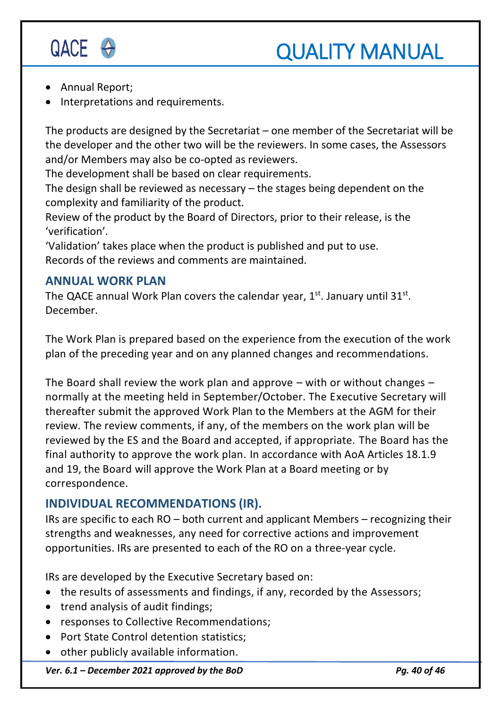

- Annual Report;
- Interpretations and requirements.

The products are designed by the Secretariat – one member of the Secretariat will be the developer and the other two will be the reviewers. In some cases, the Assessors and/or Members may also be co-opted as reviewers.

The development shall be based on clear requirements.

The design shall be reviewed as necessary – the stages being dependent on the complexity and familiarity of the product.

Review of the product by the Board of Directors, prior to their release, is the 'verification'.

'Validation' takes place when the product is published and put to use. Records of the reviews and comments are maintained.

#### **ANNUAL WORK PLAN**

The QACE annual Work Plan covers the calendar year,  $1<sup>st</sup>$ . January until 31 $<sup>st</sup>$ .</sup> December.

The Work Plan is prepared based on the experience from the execution of the work plan of the preceding year and on any planned changes and recommendations.

The Board shall review the work plan and approve – with or without changes – normally at the meeting held in September/October. The Executive Secretary will thereafter submit the approved Work Plan to the Members at the AGM for their review. The review comments, if any, of the members on the work plan will be reviewed by the ES and the Board and accepted, if appropriate. The Board has the final authority to approve the work plan. In accordance with AoA Articles 18.1.9 and 19, the Board will approve the Work Plan at a Board meeting or by correspondence.

### **INDIVIDUAL RECOMMENDATIONS (IR).**

IRs are specific to each RO – both current and applicant Members – recognizing their strengths and weaknesses, any need for corrective actions and improvement opportunities. IRs are presented to each of the RO on a three-year cycle.

IRs are developed by the Executive Secretary based on:

- the results of assessments and findings, if any, recorded by the Assessors;
- trend analysis of audit findings;
- responses to Collective Recommendations;
- Port State Control detention statistics;
- other publicly available information.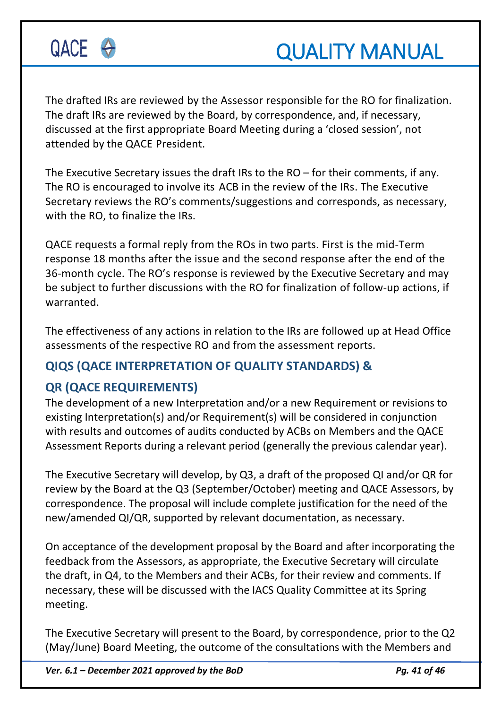

The drafted IRs are reviewed by the Assessor responsible for the RO for finalization. The draft IRs are reviewed by the Board, by correspondence, and, if necessary, discussed at the first appropriate Board Meeting during a 'closed session', not attended by the QACE President.

The Executive Secretary issues the draft IRs to the RO – for their comments, if any. The RO is encouraged to involve its ACB in the review of the IRs. The Executive Secretary reviews the RO's comments/suggestions and corresponds, as necessary, with the RO, to finalize the IRs.

QACE requests a formal reply from the ROs in two parts. First is the mid-Term response 18 months after the issue and the second response after the end of the 36-month cycle. The RO's response is reviewed by the Executive Secretary and may be subject to further discussions with the RO for finalization of follow-up actions, if warranted.

The effectiveness of any actions in relation to the IRs are followed up at Head Office assessments of the respective RO and from the assessment reports.

### **QIQS (QACE INTERPRETATION OF QUALITY STANDARDS) &**

### **QR (QACE REQUIREMENTS)**

The development of a new Interpretation and/or a new Requirement or revisions to existing Interpretation(s) and/or Requirement(s) will be considered in conjunction with results and outcomes of audits conducted by ACBs on Members and the QACE Assessment Reports during a relevant period (generally the previous calendar year).

The Executive Secretary will develop, by Q3, a draft of the proposed QI and/or QR for review by the Board at the Q3 (September/October) meeting and QACE Assessors, by correspondence. The proposal will include complete justification for the need of the new/amended QI/QR, supported by relevant documentation, as necessary.

On acceptance of the development proposal by the Board and after incorporating the feedback from the Assessors, as appropriate, the Executive Secretary will circulate the draft, in Q4, to the Members and their ACBs, for their review and comments. If necessary, these will be discussed with the IACS Quality Committee at its Spring meeting.

The Executive Secretary will present to the Board, by correspondence, prior to the Q2 (May/June) Board Meeting, the outcome of the consultations with the Members and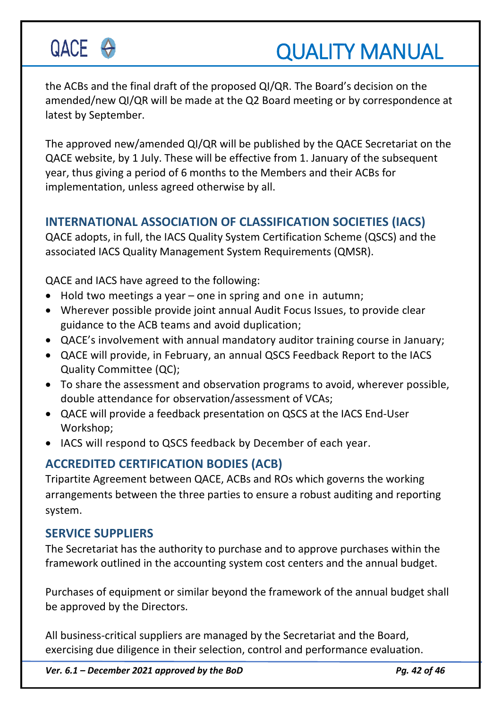

the ACBs and the final draft of the proposed QI/QR. The Board's decision on the amended/new QI/QR will be made at the Q2 Board meeting or by correspondence at latest by September.

The approved new/amended QI/QR will be published by the QACE Secretariat on the QACE website, by 1 July. These will be effective from 1. January of the subsequent year, thus giving a period of 6 months to the Members and their ACBs for implementation, unless agreed otherwise by all.

#### **INTERNATIONAL ASSOCIATION OF CLASSIFICATION SOCIETIES (IACS)**

QACE adopts, in full, the IACS Quality System Certification Scheme (QSCS) and the associated IACS Quality Management System Requirements (QMSR).

QACE and IACS have agreed to the following:

- Hold two meetings a year one in spring and one in autumn;
- Wherever possible provide joint annual Audit Focus Issues, to provide clear guidance to the ACB teams and avoid duplication;
- QACE's involvement with annual mandatory auditor training course in January;
- QACE will provide, in February, an annual QSCS Feedback Report to the IACS Quality Committee (QC);
- To share the assessment and observation programs to avoid, wherever possible, double attendance for observation/assessment of VCAs;
- QACE will provide a feedback presentation on QSCS at the IACS End-User Workshop;
- IACS will respond to QSCS feedback by December of each year.

#### **ACCREDITED CERTIFICATION BODIES (ACB)**

Tripartite Agreement between QACE, ACBs and ROs which governs the working arrangements between the three parties to ensure a robust auditing and reporting system.

#### **SERVICE SUPPLIERS**

The Secretariat has the authority to purchase and to approve purchases within the framework outlined in the accounting system cost centers and the annual budget.

Purchases of equipment or similar beyond the framework of the annual budget shall be approved by the Directors.

All business-critical suppliers are managed by the Secretariat and the Board, exercising due diligence in their selection, control and performance evaluation.

*Ver.* 6.1 – December 2021 approved by the BoD Pg. 42 of 46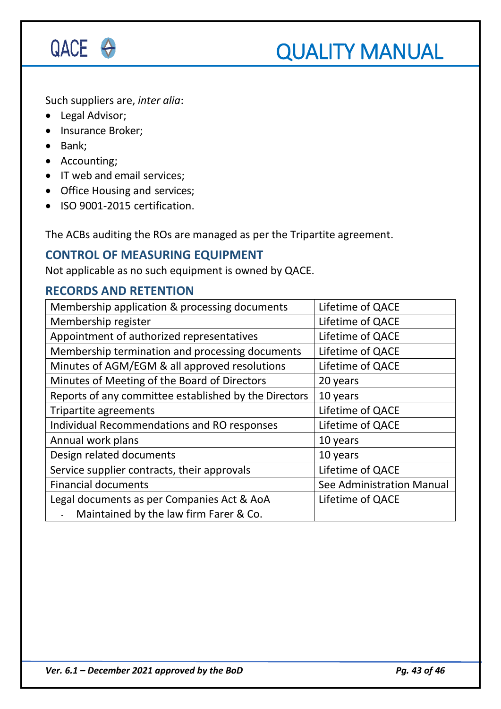

Such suppliers are, *inter alia*:

- Legal Advisor;
- Insurance Broker;
- Bank;
- Accounting;
- IT web and email services;
- Office Housing and services;
- ISO 9001-2015 certification.

The ACBs auditing the ROs are managed as per the Tripartite agreement.

#### **CONTROL OF MEASURING EQUIPMENT**

Not applicable as no such equipment is owned by QACE.

#### **RECORDS AND RETENTION**

<span id="page-42-0"></span>

| Membership application & processing documents         | Lifetime of QACE          |
|-------------------------------------------------------|---------------------------|
| Membership register                                   | Lifetime of QACE          |
| Appointment of authorized representatives             | Lifetime of QACE          |
| Membership termination and processing documents       | Lifetime of QACE          |
| Minutes of AGM/EGM & all approved resolutions         | Lifetime of QACE          |
| Minutes of Meeting of the Board of Directors          | 20 years                  |
| Reports of any committee established by the Directors | 10 years                  |
| <b>Tripartite agreements</b>                          | Lifetime of QACE          |
| <b>Individual Recommendations and RO responses</b>    | Lifetime of QACE          |
| Annual work plans                                     | 10 years                  |
| Design related documents                              | 10 years                  |
| Service supplier contracts, their approvals           | Lifetime of QACE          |
| <b>Financial documents</b>                            | See Administration Manual |
| Legal documents as per Companies Act & AoA            | Lifetime of QACE          |
| Maintained by the law firm Farer & Co.                |                           |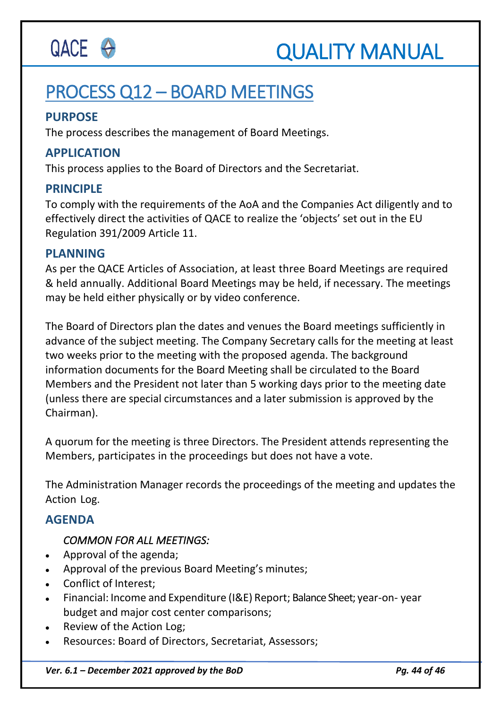

### PROCESS Q12 – BOARD MEETINGS

#### **PURPOSE**

The process describes the management of Board Meetings.

#### **APPLICATION**

This process applies to the Board of Directors and the Secretariat.

#### **PRINCIPLE**

To comply with the requirements of the AoA and the Companies Act diligently and to effectively direct the activities of QACE to realize the 'objects' set out in the EU Regulation 391/2009 Article 11.

#### **PLANNING**

As per the QACE Articles of Association, at least three Board Meetings are required & held annually. Additional Board Meetings may be held, if necessary. The meetings may be held either physically or by video conference.

The Board of Directors plan the dates and venues the Board meetings sufficiently in advance of the subject meeting. The Company Secretary calls for the meeting at least two weeks prior to the meeting with the proposed agenda. The background information documents for the Board Meeting shall be circulated to the Board Members and the President not later than 5 working days prior to the meeting date (unless there are special circumstances and a later submission is approved by the Chairman).

A quorum for the meeting is three Directors. The President attends representing the Members, participates in the proceedings but does not have a vote.

The Administration Manager records the proceedings of the meeting and updates the Action Log.

#### **AGENDA**

#### *COMMON FOR ALL MEETINGS:*

- Approval of the agenda;
- Approval of the previous Board Meeting's minutes;
- Conflict of Interest;
- Financial: Income and Expenditure (I&E) Report; Balance Sheet; year-on- year budget and major cost center comparisons;
- Review of the Action Log;
- Resources: Board of Directors, Secretariat, Assessors;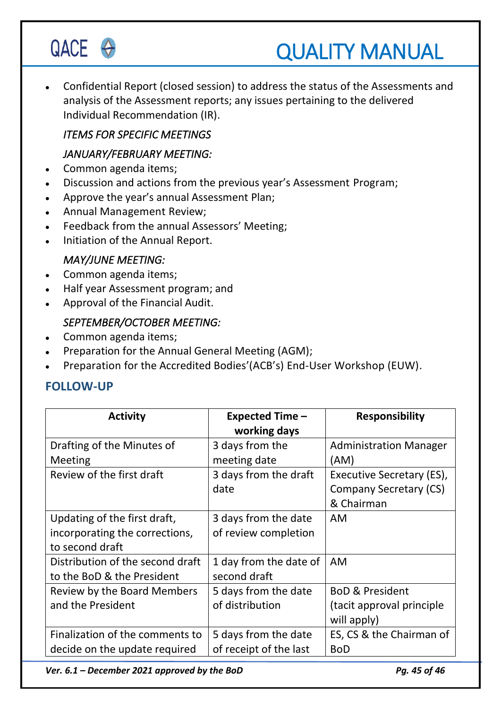• Confidential Report (closed session) to address the status of the Assessments and analysis of the Assessment reports; any issues pertaining to the delivered Individual Recommendation (IR).

#### *ITEMS FOR SPECIFIC MEETINGS*

#### *JANUARY/FEBRUARY MEETING:*

- Common agenda items;
- Discussion and actions from the previous year's Assessment Program;
- Approve the year's annual Assessment Plan;
- Annual Management Review;
- Feedback from the annual Assessors' Meeting;
- Initiation of the Annual Report.

#### *MAY/JUNE MEETING:*

- Common agenda items;
- Half year Assessment program; and
- Approval of the Financial Audit.

#### *SEPTEMBER/OCTOBER MEETING:*

- Common agenda items;
- Preparation for the Annual General Meeting (AGM);
- Preparation for the Accredited Bodies'(ACB's) End-User Workshop (EUW).

### **FOLLOW-UP**

| <b>Activity</b>                    | <b>Expected Time -</b><br>working days | <b>Responsibility</b>         |
|------------------------------------|----------------------------------------|-------------------------------|
| Drafting of the Minutes of         | 3 days from the                        | <b>Administration Manager</b> |
| Meeting                            | meeting date                           | (AM)                          |
| Review of the first draft          | 3 days from the draft                  | Executive Secretary (ES),     |
|                                    | date                                   | <b>Company Secretary (CS)</b> |
|                                    |                                        | & Chairman                    |
| Updating of the first draft,       | 3 days from the date                   | <b>AM</b>                     |
| incorporating the corrections,     | of review completion                   |                               |
| to second draft                    |                                        |                               |
| Distribution of the second draft   | 1 day from the date of                 | <b>AM</b>                     |
| to the BoD & the President         | second draft                           |                               |
| <b>Review by the Board Members</b> | 5 days from the date                   | <b>BoD &amp; President</b>    |
| and the President                  | of distribution                        | (tacit approval principle     |
|                                    |                                        | will apply)                   |
| Finalization of the comments to    | 5 days from the date                   | ES, CS & the Chairman of      |
| decide on the update required      | of receipt of the last                 | <b>BoD</b>                    |

*Ver.* 6.1 – December 2021 approved by the BoD Pg. 45 of 46